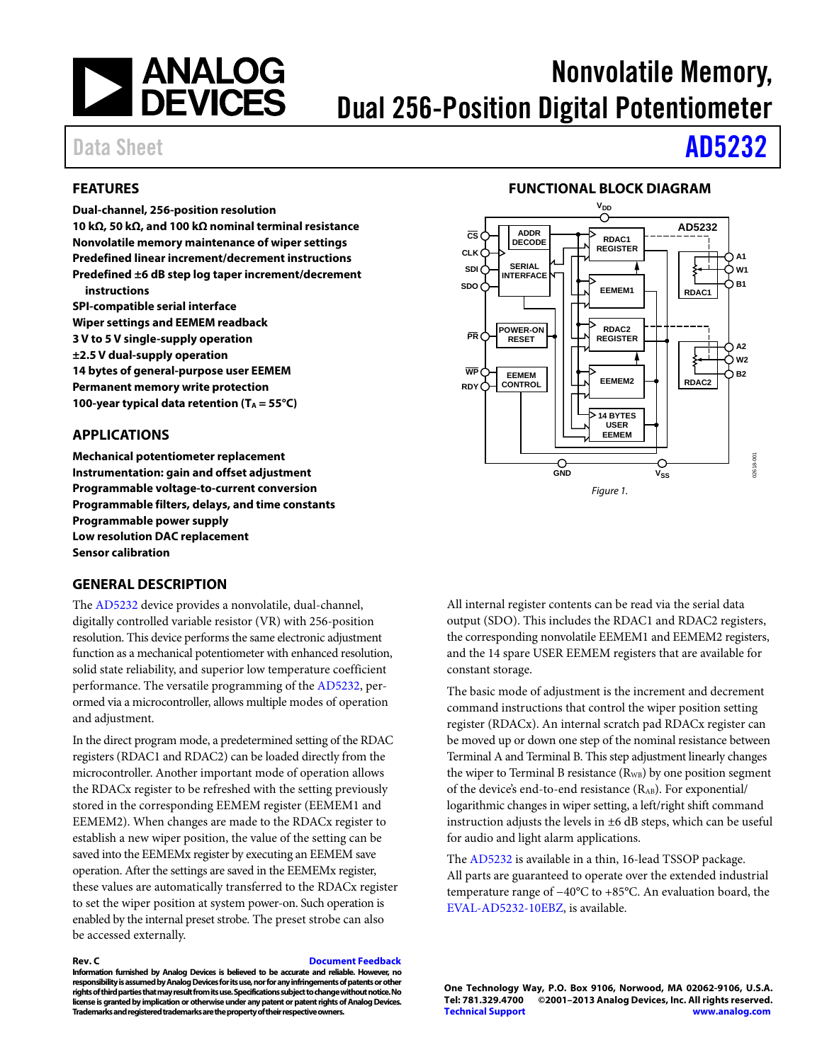

# Nonvolatile Memory, Dual 256-Position Digital Potentiometer

# Data Sheet **[AD5232](http://www.analog.com/AD5232?doc=AD5232.pdf)**

#### <span id="page-0-0"></span>**FEATURES**

**Dual-channel, 256-position resolution 10 kΩ, 50 kΩ, and 100 kΩ nominal terminal resistance Nonvolatile memory maintenance of wiper settings Predefined linear increment/decrement instructions Predefined ±6 dB step log taper increment/decrement instructions SPI-compatible serial interface** 

**Wiper settings and EEMEM readback 3 V to 5 V single-supply operation ±2.5 V dual-supply operation 14 bytes of general-purpose user EEMEM Permanent memory write protection**  100-year typical data retention (T<sub>A</sub> = 55<sup>°</sup>C)

#### <span id="page-0-1"></span>**APPLICATIONS**

**Mechanical potentiometer replacement Instrumentation: gain and offset adjustment Programmable voltage-to-current conversion Programmable filters, delays, and time constants Programmable power supply Low resolution DAC replacement Sensor calibration** 

#### <span id="page-0-3"></span>**GENERAL DESCRIPTION**

The [AD5232](http://www.analog.com/AD5232?doc=AD5232.pdf) device provides a nonvolatile, dual-channel, digitally controlled variable resistor (VR) with 256-position resolution. This device performs the same electronic adjustment function as a mechanical potentiometer with enhanced resolution, solid state reliability, and superior low temperature coefficient performance. The versatile programming of th[e AD5232,](http://www.analog.com/AD5232?doc=AD5232.pdf) perormed via a microcontroller, allows multiple modes of operation and adjustment.

In the direct program mode, a predetermined setting of the RDAC registers (RDAC1 and RDAC2) can be loaded directly from the microcontroller. Another important mode of operation allows the RDACx register to be refreshed with the setting previously stored in the corresponding EEMEM register (EEMEM1 and EEMEM2). When changes are made to the RDACx register to establish a new wiper position, the value of the setting can be saved into the EEMEMx register by executing an EEMEM save operation. After the settings are saved in the EEMEMx register, these values are automatically transferred to the RDACx register to set the wiper position at system power-on. Such operation is enabled by the internal preset strobe. The preset strobe can also be accessed externally.

#### **Rev. C [Document Feedback](https://form.analog.com/Form_Pages/feedback/documentfeedback.aspx?doc=AD5232.pdf&product=AD5232&rev=C)**

**Information furnished by Analog Devices is believed to be accurate and reliable. However, no responsibility is assumed by Analog Devices for its use, nor for any infringements of patents or other rights of third parties that may result from its use. Specifications subject to change without notice. No license is granted by implication or otherwise under any patent or patent rights of Analog Devices. Trademarks and registered trademarks are the property of their respective owners.** 

### **FUNCTIONAL BLOCK DIAGRAM**

<span id="page-0-2"></span>

All internal register contents can be read via the serial data output (SDO). This includes the RDAC1 and RDAC2 registers, the corresponding nonvolatile EEMEM1 and EEMEM2 registers, and the 14 spare USER EEMEM registers that are available for constant storage.

The basic mode of adjustment is the increment and decrement command instructions that control the wiper position setting register (RDACx). An internal scratch pad RDACx register can be moved up or down one step of the nominal resistance between Terminal A and Terminal B. This step adjustment linearly changes the wiper to Terminal B resistance  $(R_{WB})$  by one position segment of the device's end-to-end resistance (RAB). For exponential/ logarithmic changes in wiper setting, a left/right shift command instruction adjusts the levels in ±6 dB steps, which can be useful for audio and light alarm applications.

The [AD5232 i](http://www.analog.com/AD5232?doc=AD5232.pdf)s available in a thin, 16-lead TSSOP package. All parts are guaranteed to operate over the extended industrial temperature range of −40°C to +85°C. An evaluation board, the [EVAL-AD5232-10EBZ,](http://www.analog.com/AD5232?doc=AD5232.pdf) is available.

**One Technology Way, P.O. Box 9106, Norwood, MA 02062-9106, U.S.A.** ©2001-2013 Analog Devices, Inc. All rights reserved. **[Technical Support](http://www.analog.com/en/content/technical_support_page/fca.html) [www.analog.com](http://www.analog.com/)**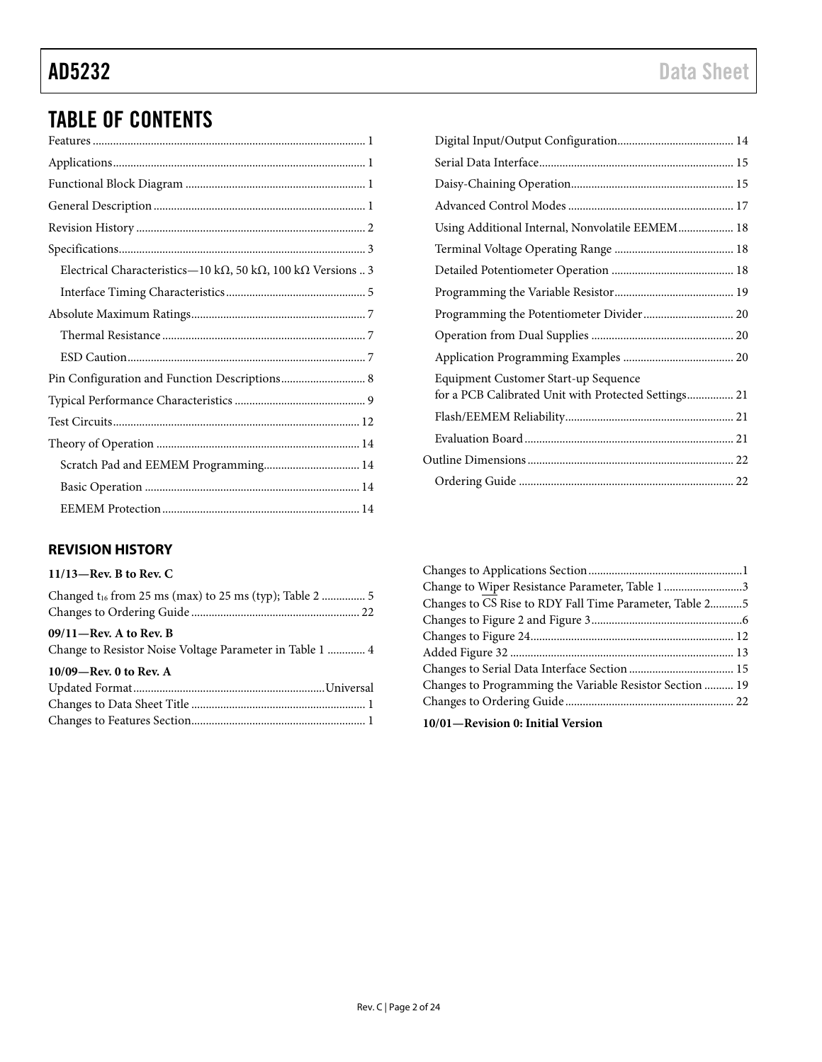# TABLE OF CONTENTS

| Electrical Characteristics-10 k $\Omega$ , 50 k $\Omega$ , 100 k $\Omega$ Versions  3 |
|---------------------------------------------------------------------------------------|
|                                                                                       |
|                                                                                       |
|                                                                                       |
|                                                                                       |
| Pin Configuration and Function Descriptions 8                                         |
|                                                                                       |
|                                                                                       |
|                                                                                       |
| Scratch Pad and EEMEM Programming 14                                                  |
|                                                                                       |
|                                                                                       |

#### <span id="page-1-0"></span>**REVISION HISTORY**

| Using Additional Internal, Nonvolatile EEMEM 18      |  |
|------------------------------------------------------|--|
|                                                      |  |
|                                                      |  |
|                                                      |  |
|                                                      |  |
|                                                      |  |
|                                                      |  |
| Equipment Customer Start-up Sequence                 |  |
| for a PCB Calibrated Unit with Protected Settings 21 |  |
|                                                      |  |
|                                                      |  |
|                                                      |  |
|                                                      |  |

| Change to Wiper Resistance Parameter, Table 13           |  |
|----------------------------------------------------------|--|
| Changes to CS Rise to RDY Fall Time Parameter, Table 25  |  |
|                                                          |  |
|                                                          |  |
|                                                          |  |
|                                                          |  |
| Changes to Programming the Variable Resistor Section  19 |  |
|                                                          |  |
| 10/01—Revision 0: Initial Version                        |  |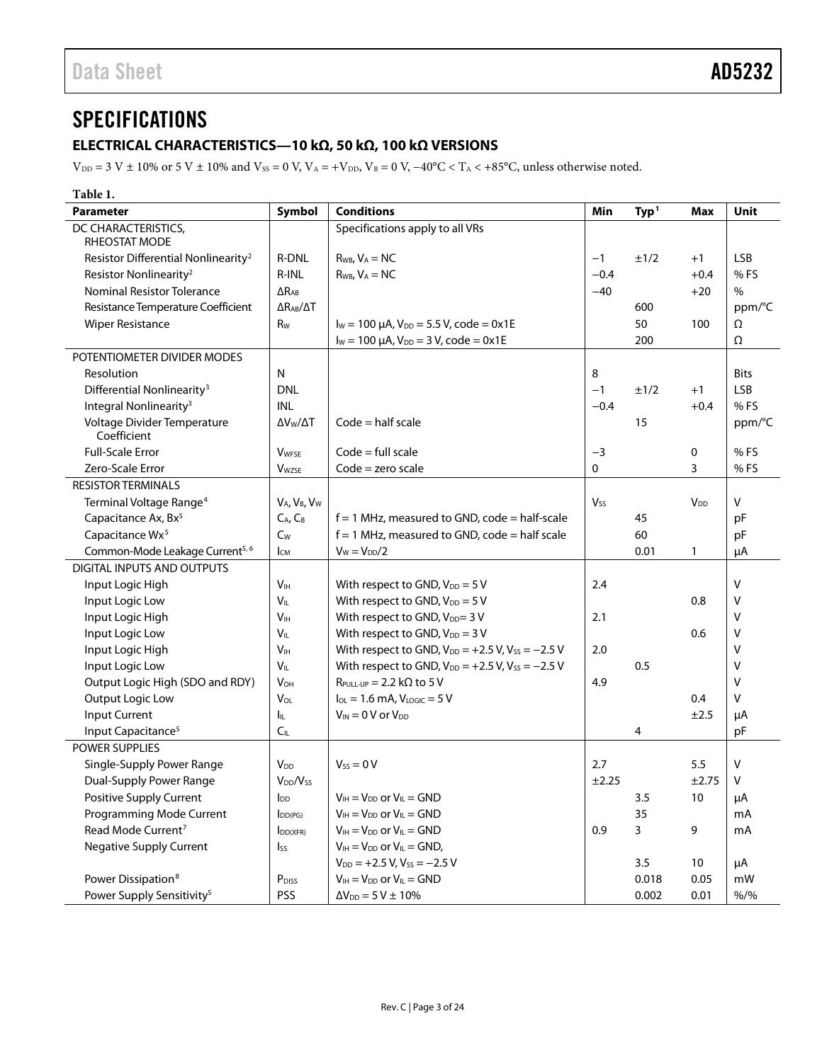### <span id="page-2-1"></span><span id="page-2-0"></span>**ELECTRICAL CHARACTERISTICS—10 kΩ, 50 kΩ, 100 kΩ VERSIONS**

 $V_{\rm DD}$  = 3 V ± 10% or 5 V ± 10% and  $V_{\rm SS}$  = 0 V,  $V_{\rm A}$  = +V<sub>DD</sub>,  $V_{\rm B}$  = 0 V, -40°C < T<sub>A</sub> < +85°C, unless otherwise noted.

| Table 1.                                        |                                                  |                                                            |                       |                   |                        |             |
|-------------------------------------------------|--------------------------------------------------|------------------------------------------------------------|-----------------------|-------------------|------------------------|-------------|
| <b>Parameter</b>                                | Symbol                                           | <b>Conditions</b>                                          | Min                   | Type <sup>1</sup> | <b>Max</b>             | Unit        |
| DC CHARACTERISTICS,<br>RHEOSTAT MODE            |                                                  | Specifications apply to all VRs                            |                       |                   |                        |             |
| Resistor Differential Nonlinearity <sup>2</sup> | <b>R-DNL</b>                                     | $R_{WB}$ , $V_A = NC$                                      | $-1$                  | ±1/2              | $+1$                   | <b>LSB</b>  |
| Resistor Nonlinearity <sup>2</sup>              | R-INL                                            | $R_{WB}$ , $V_A = NC$                                      | $-0.4$                |                   | $+0.4$                 | % FS        |
| <b>Nominal Resistor Tolerance</b>               | $\Delta$ R <sub>AB</sub>                         |                                                            | $-40$                 |                   | $+20$                  | %           |
| Resistance Temperature Coefficient              | $\Delta R_{AB}/\Delta T$                         |                                                            |                       | 600               |                        | ppm/°C      |
| <b>Wiper Resistance</b>                         | R <sub>w</sub>                                   | $I_W = 100 \mu A$ , $V_{DD} = 5.5 V$ , code = 0x1E         |                       | 50                | 100                    | Ω           |
|                                                 |                                                  | $I_W = 100 \mu A$ , $V_{DD} = 3 V$ , code = 0x1E           |                       | 200               |                        | Ω           |
| POTENTIOMETER DIVIDER MODES                     |                                                  |                                                            |                       |                   |                        |             |
| Resolution                                      | N                                                |                                                            | 8                     |                   |                        | <b>Bits</b> |
| Differential Nonlinearity <sup>3</sup>          | <b>DNL</b>                                       |                                                            | $-1$                  | ±1/2              | $+1$                   | <b>LSB</b>  |
| Integral Nonlinearity <sup>3</sup>              | <b>INL</b>                                       |                                                            | $-0.4$                |                   | $+0.4$                 | %FS         |
| Voltage Divider Temperature<br>Coefficient      | $\Delta V_{\rm W}/\Delta T$                      | $Code = half scale$                                        |                       | 15                |                        | ppm/°C      |
| <b>Full-Scale Error</b>                         | <b>V</b> <sub>WFSE</sub>                         | $Code = full scale$                                        | $-3$                  |                   | 0                      | %FS         |
| Zero-Scale Error                                | <b>V</b> wzse                                    | $Code = zero scale$                                        | 0                     |                   | 3                      | %FS         |
| <b>RESISTOR TERMINALS</b>                       |                                                  |                                                            |                       |                   |                        |             |
| Terminal Voltage Range <sup>4</sup>             | V <sub>A</sub> , V <sub>B</sub> , V <sub>W</sub> |                                                            | <b>V<sub>ss</sub></b> |                   | <b>V</b> <sub>DD</sub> | V           |
| Capacitance Ax, Bx <sup>5</sup>                 | $C_A$ , $C_B$                                    | $f = 1$ MHz, measured to GND, code = half-scale            |                       | 45                |                        | pF          |
| Capacitance Wx <sup>5</sup>                     | $C_W$                                            | $f = 1$ MHz, measured to GND, code = half scale            |                       | 60                |                        | pF          |
| Common-Mode Leakage Current <sup>5, 6</sup>     | Iсм                                              | $V_W = V_{DD}/2$                                           |                       | 0.01              | 1                      | μA          |
| DIGITAL INPUTS AND OUTPUTS                      |                                                  |                                                            |                       |                   |                        |             |
| Input Logic High                                | V <sub>IH</sub>                                  | With respect to GND, $V_{DD} = 5 V$                        | 2.4                   |                   |                        | v           |
| Input Logic Low                                 | $V_{IL}$                                         | With respect to GND, $V_{DD} = 5 V$                        |                       |                   | 0.8                    | ٧           |
| Input Logic High                                | V <sub>IH</sub>                                  | With respect to GND, V <sub>DD</sub> = 3 V                 | 2.1                   |                   |                        | V           |
| Input Logic Low                                 | $V_{IL}$                                         | With respect to GND, $V_{DD} = 3 V$                        |                       |                   | 0.6                    | ٧           |
| Input Logic High                                | V <sub>IH</sub>                                  | With respect to GND, $V_{DD} = +2.5 V$ , $V_{SS} = -2.5 V$ | 2.0                   |                   |                        | V           |
| Input Logic Low                                 | $V_{IL}$                                         | With respect to GND, $V_{DD} = +2.5 V$ , $V_{SS} = -2.5 V$ |                       | 0.5               |                        | V           |
| Output Logic High (SDO and RDY)                 | <b>V<sub>OH</sub></b>                            | $R_{PULL-UP} = 2.2 k\Omega$ to 5 V                         | 4.9                   |                   |                        | V           |
| Output Logic Low                                | VOL                                              | $I_{OL} = 1.6$ mA, $V_{LOGIC} = 5$ V                       |                       |                   | 0.4                    | v           |
| Input Current                                   | Ιı                                               | $V_{IN} = 0 V$ or $V_{DD}$                                 |                       |                   | ±2.5                   | μA          |
| Input Capacitance <sup>5</sup>                  | C <sub>IL</sub>                                  |                                                            |                       | 4                 |                        | pF          |
| POWER SUPPLIES                                  |                                                  |                                                            |                       |                   |                        |             |
| Single-Supply Power Range                       | <b>V<sub>DD</sub></b>                            | $V_{SS} = 0 V$                                             | 2.7                   |                   | 5.5                    | v           |
| Dual-Supply Power Range                         | $V_{DD}/V_{SS}$                                  |                                                            | ±2.25                 |                   | $\pm 2.75$             | $\vee$      |
| Positive Supply Current                         | <b>l</b> <sub>DD</sub>                           | $V_{IH} = V_{DD}$ or $V_{IL} = GND$                        |                       | 3.5               | 10                     | μA          |
| Programming Mode Current                        | $I_{DD(PG)}$                                     | $V_{IH} = V_{DD}$ or $V_{IL} = GND$                        |                       | 35                |                        | mA          |
| Read Mode Current <sup>7</sup>                  | IDD(XFR)                                         | $V_{IH} = V_{DD}$ or $V_{IL} = GND$                        | 0.9                   | 3                 | 9                      | mA          |
| <b>Negative Supply Current</b>                  | Iss                                              | $V_{IH} = V_{DD}$ or $V_{IL} = GND$ ,                      |                       |                   |                        |             |
|                                                 |                                                  | $V_{DD}$ = +2.5 V, V <sub>ss</sub> = -2.5 V                |                       | 3.5               | 10                     | μA          |
| Power Dissipation <sup>8</sup>                  | P <sub>DISS</sub>                                | $V_{IH} = V_{DD}$ or $V_{IL} = GND$                        |                       | 0.018             | 0.05                   | mW          |
| Power Supply Sensitivity <sup>5</sup>           | PSS                                              | $\Delta V_{DD} = 5 V \pm 10\%$                             |                       | 0.002             | 0.01                   | $% /$ %     |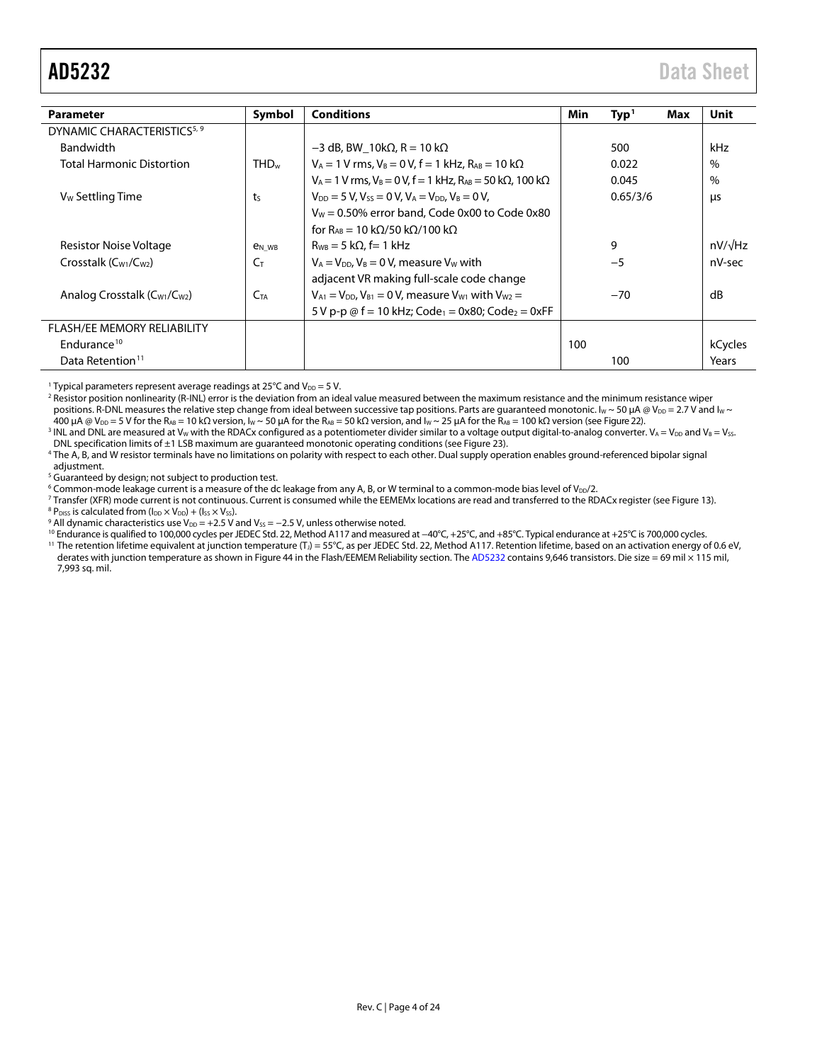<span id="page-3-0"></span>

| <b>Parameter</b>                                     | Symbol                   | <b>Conditions</b>                                                                 | Min | Type <sup>1</sup> | Max | Unit           |
|------------------------------------------------------|--------------------------|-----------------------------------------------------------------------------------|-----|-------------------|-----|----------------|
| DYNAMIC CHARACTERISTICS <sup>5, 9</sup>              |                          |                                                                                   |     |                   |     |                |
| <b>Bandwidth</b>                                     |                          | $-3$ dB, BW 10k $\Omega$ , R = 10 k $\Omega$                                      |     | 500               |     | kHz            |
| <b>Total Harmonic Distortion</b>                     | THD <sub>w</sub>         | $V_A = 1 V$ rms, $V_B = 0 V$ , $f = 1 kHz$ , $R_{AB} = 10 k\Omega$                |     | 0.022             |     | $\%$           |
|                                                      |                          | $V_A$ = 1 V rms, V <sub>B</sub> = 0 V, f = 1 kHz, R <sub>AB</sub> = 50 kΩ, 100 kΩ |     | 0.045             |     | $\%$           |
| V <sub>w</sub> Settling Time                         | ts                       | $V_{DD} = 5 V$ , $V_{SS} = 0 V$ , $V_A = V_{DD}$ , $V_B = 0 V$ ,                  |     | 0.65/3/6          |     | μs             |
|                                                      |                          | $V_W$ = 0.50% error band, Code 0x00 to Code 0x80                                  |     |                   |     |                |
|                                                      |                          | for R <sub>AB</sub> = 10 kΩ/50 kΩ/100 kΩ                                          |     |                   |     |                |
| Resistor Noise Voltage                               | <b>e</b> <sub>N</sub> WB | $R_{WB} = 5 k\Omega$ , f= 1 kHz                                                   |     | 9                 |     | $nV/\sqrt{Hz}$ |
| Crosstalk $(C_{W1}/C_{W2})$                          | $C_{T}$                  | $V_A = V_{DD}$ , $V_B = 0$ V, measure V <sub>W</sub> with                         |     | $-5$              |     | nV-sec         |
|                                                      |                          | adjacent VR making full-scale code change                                         |     |                   |     |                |
| Analog Crosstalk (C <sub>W1</sub> /C <sub>W2</sub> ) | $C_{TA}$                 | $V_{A1} = V_{DD}$ , $V_{B1} = 0$ V, measure $V_{W1}$ with $V_{W2} =$              |     | $-70$             |     | dB             |
|                                                      |                          | 5 V p-p $\omega$ f = 10 kHz; Code <sub>1</sub> = 0x80; Code <sub>2</sub> = 0xFF   |     |                   |     |                |
| <b>FLASH/EE MEMORY RELIABILITY</b>                   |                          |                                                                                   |     |                   |     |                |
| Endurance <sup>10</sup>                              |                          |                                                                                   | 100 |                   |     | kCycles        |
| Data Retention <sup>11</sup>                         |                          |                                                                                   |     | 100               |     | Years          |

<sup>1</sup> Typical parameters represent average readings at 25°C and  $V_{DD} = 5$  V.

<sup>2</sup> Resistor position nonlinearity (R-INL) error is the deviation from an ideal value measured between the maximum resistance and the minimum resistance wiper positions. R-DNL measures the relative step change from ideal between successive tap positions. Parts are guaranteed monotonic. Iw ~ 50 µA @ V<sub>DD</sub> = 2.7 V and Iw ~ 400 μA @ V<sub>DD</sub> = 5 V for the R<sub>AB</sub> = 10 kΩ version, I<sub>W</sub> ~ 50 μA for the R<sub>AB</sub> = 50 kΩ version, and I<sub>W</sub> ~ 25 μA for the R<sub>AB</sub> = 100 kΩ version (se[e Figure 22\).](#page-11-1)

<sup>3</sup> INL and DNL are measured at V<sub>W</sub> with the RDACx configured as a potentiometer divider similar to a voltage output digital-to-analog converter.  $V_A = V_{DD}$  and V<sub>B</sub> = V<sub>SS</sub>. DNL specification limits of ±1 LSB maximum are guaranteed monotonic operating conditions (se[e Figure 23\)](#page-11-2).

<sup>4</sup> The A, B, and W resistor terminals have no limitations on polarity with respect to each other. Dual supply operation enables ground-referenced bipolar signal adjustment.

<sup>5</sup> Guaranteed by design; not subject to production test.

<sup>6</sup> Common-mode leakage current is a measure of the dc leakage from any A, B, or W terminal to a common-mode bias level of V<sub>DD</sub>/2.

<sup>7</sup> Transfer (XFR) mode current is not continuous. Current is consumed while the EEMEMx locations are read and transferred to the RDACx register (se[e Figure 13\)](#page-9-0).

 $8$  P<sub>DISS</sub> is calculated from ( $I_{DD}$   $\times$  V<sub>DD</sub>) + ( $I_{SS}$   $\times$  V<sub>SS</sub>).

<sup>9</sup> All dynamic characteristics use  $V_{DD} = +2.5$  V and  $V_{SS} = -2.5$  V, unless otherwise noted.

<sup>10</sup> Endurance is qualified to 100,000 cycles per JEDEC Std. 22, Method A117 and measured at −40°C, +25°C, and +85°C. Typical endurance at +25°C is 700,000 cycles. 11 The retention lifetime equivalent at junction temperature (T<sub>J</sub>) = 55°C, as per JEDEC Std. 22, Method A117. Retention lifetime, based on an activation energy of 0.6 eV, derates with junction temperature as shown i[n Figure 44](#page-20-4) in th[e Flash/EEMEM Reliability](#page-20-1) section. Th[e AD5232](http://www.analog.com/AD5232?doc=AD5232.pdf) contains 9,646 transistors. Die size = 69 mil × 115 mil, 7,993 sq. mil.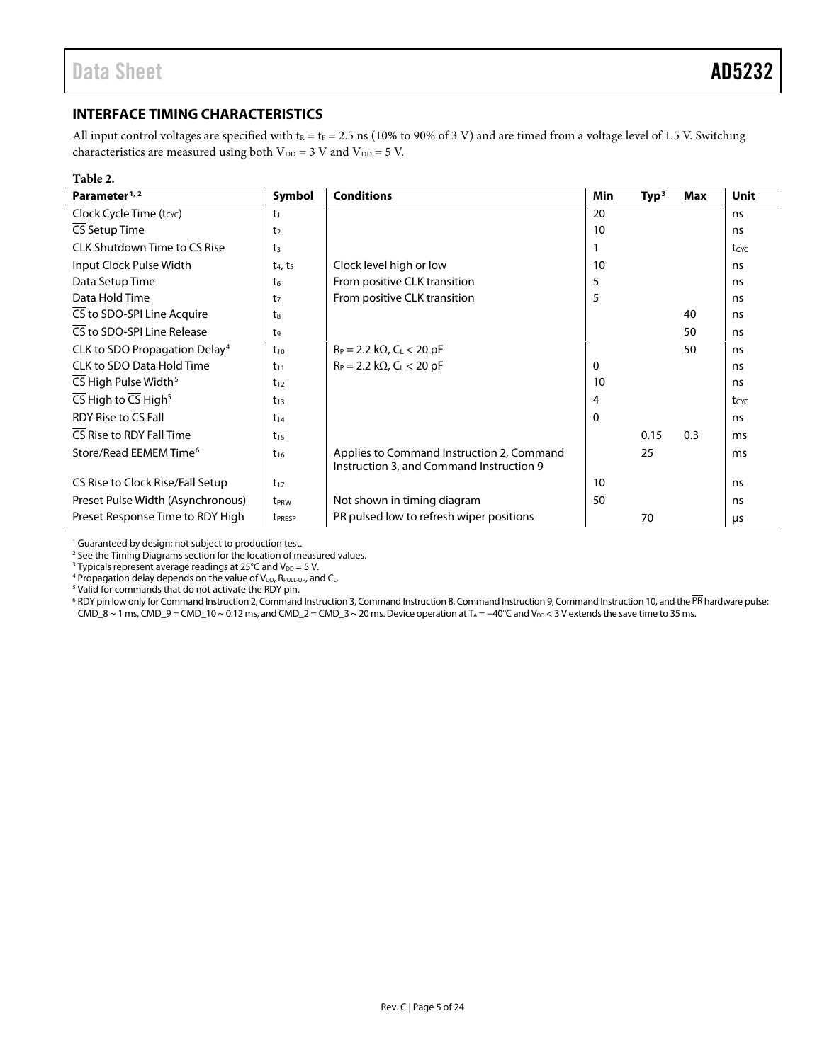### <span id="page-4-0"></span>**INTERFACE TIMING CHARACTERISTICS**

All input control voltages are specified with  $t_R = t_F = 2.5$  ns (10% to 90% of 3 V) and are timed from a voltage level of 1.5 V. Switching characteristics are measured using both  $V_{DD} = 3$  V and  $V_{DD} = 5$  V.

| Table 2.                                                  |                                 |                                                                                       |     |                   |     |             |
|-----------------------------------------------------------|---------------------------------|---------------------------------------------------------------------------------------|-----|-------------------|-----|-------------|
| Parameter <sup>1, 2</sup>                                 | Symbol                          | <b>Conditions</b>                                                                     | Min | Type <sup>3</sup> | Max | <b>Unit</b> |
| Clock Cycle Time (tcyc)                                   | t1                              |                                                                                       | 20  |                   |     | ns          |
| CS Setup Time                                             | t <sub>2</sub>                  |                                                                                       | 10  |                   |     | ns          |
| CLK Shutdown Time to $\overline{\text{CS}}$ Rise          | t <sub>3</sub>                  |                                                                                       |     |                   |     | tcyc        |
| Input Clock Pulse Width                                   | t <sub>4</sub> , t <sub>5</sub> | Clock level high or low                                                               | 10  |                   |     | ns          |
| Data Setup Time                                           | t6                              | From positive CLK transition                                                          | 5   |                   |     | ns          |
| Data Hold Time                                            | t7                              | From positive CLK transition                                                          | 5   |                   |     | ns          |
| CS to SDO-SPI Line Acquire                                | $t_{8}$                         |                                                                                       |     |                   | 40  | ns          |
| CS to SDO-SPI Line Release                                | t <sub>9</sub>                  |                                                                                       |     |                   | 50  | ns          |
| CLK to SDO Propagation Delay <sup>4</sup>                 | $t_{10}$                        | $R_P = 2.2 k\Omega$ , C <sub>L</sub> < 20 pF                                          |     |                   | 50  | ns          |
| <b>CLK to SDO Data Hold Time</b>                          | $t_{11}$                        | $R_P = 2.2 k\Omega$ , C <sub>L</sub> < 20 pF                                          | 0   |                   |     | ns          |
| CS High Pulse Width <sup>5</sup>                          | $t_{12}$                        |                                                                                       | 10  |                   |     | ns          |
| $\overline{CS}$ High to $\overline{CS}$ High <sup>5</sup> | $t_{13}$                        |                                                                                       | 4   |                   |     | tcyc        |
| RDY Rise to CS Fall                                       | $t_{14}$                        |                                                                                       | 0   |                   |     | ns          |
| CS Rise to RDY Fall Time                                  | $t_{15}$                        |                                                                                       |     | 0.15              | 0.3 | ms          |
| Store/Read EEMEM Time <sup>6</sup>                        | $t_{16}$                        | Applies to Command Instruction 2, Command<br>Instruction 3, and Command Instruction 9 |     | 25                |     | ms          |
| CS Rise to Clock Rise/Fall Setup                          | $t_{17}$                        |                                                                                       | 10  |                   |     | ns          |
| Preset Pulse Width (Asynchronous)                         | t <sub>PRW</sub>                | Not shown in timing diagram                                                           | 50  |                   |     | ns          |
| Preset Response Time to RDY High                          | t <sub>PRESP</sub>              | PR pulsed low to refresh wiper positions                                              |     | 70                |     | μs          |

<sup>1</sup> Guaranteed by design; not subject to production test.

<sup>2</sup> See th[e Timing Diagrams](#page-5-0) section for the location of measured values.

<sup>3</sup> Typicals represent average readings at 25°C and  $V_{DD} = 5$  V.

4 Propagation delay depends on the value of  $V_{DD}$ ,  $R_{PUL-UP}$ , and  $C_L$ .<br>5 Valid for commands that do not activate the RDY pin.

 $6$  RDY pin low only for Command Instruction 2, Command Instruction 3, Command Instruction 8, Command Instruction 9, Command Instruction 10, and the  $\overline{\text{PR}}$  hardware pulse: CMD\_8 ~ 1 ms, CMD\_9 = CMD\_10 ~ 0.12 ms, and CMD\_2 = CMD\_3 ~ 20 ms. Device operation at  $T_A = -40^{\circ}$ C and  $V_{DD} < 3$  V extends the save time to 35 ms.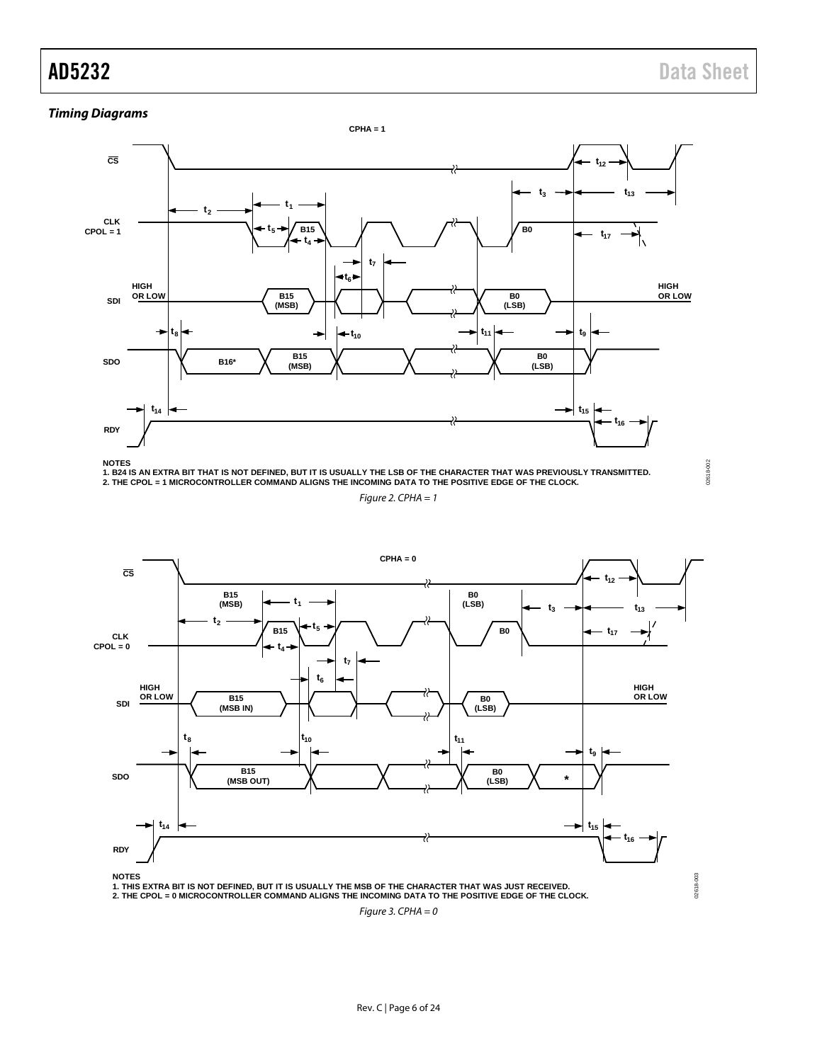02618-002

02618-002

#### <span id="page-5-0"></span>**Timing Diagrams**



**NOTES**

1. B24 IS AN EXTRA BIT THAT IS NOT DEFINED, BUT IT IS USUALLY THE LSB OF THE CHARACTER THAT WAS PREVIOUSLY TRANSMITTED.<br>2. THE CPOL = 1 MICROCONTROLLER COMMAND ALIGNS THE INCOMING DATA TO THE POSITIVE EDGE OF THE CLOCK.

Figure 2. CPHA  $= 1$ 



Figure 3. CPHA =  $0$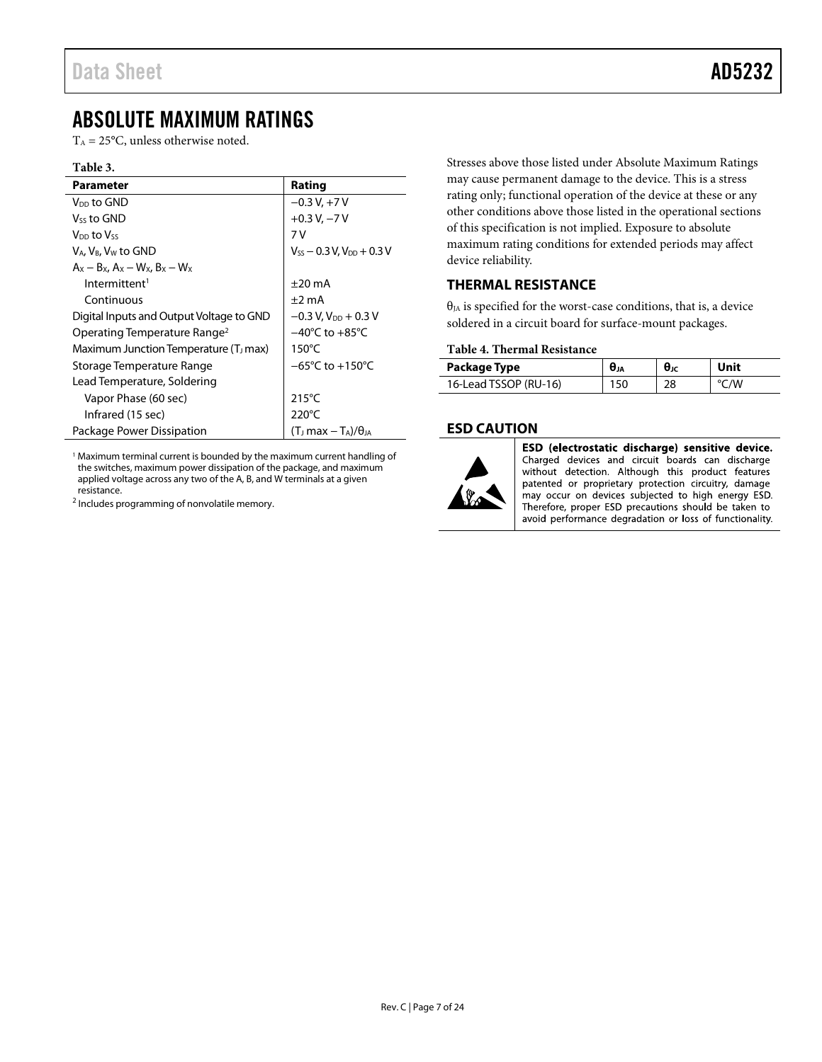# <span id="page-6-0"></span>ABSOLUTE MAXIMUM RATINGS

 $T_A = 25$ °C, unless otherwise noted.

#### **Table 3.**

| Parameter                                               | Rating                                   |
|---------------------------------------------------------|------------------------------------------|
| V <sub>DD</sub> to GND                                  | $-0.3 V + 7 V$                           |
| Vss to GND                                              | $+0.3 V, -7 V$                           |
| V <sub>DD</sub> to Vss                                  | 7 V                                      |
| V <sub>A</sub> , V <sub>B</sub> , V <sub>w</sub> to GND | $V_{SS}$ – 0.3 V, $V_{DD}$ + 0.3 V       |
| $A_x - B_x$ , $A_x - W_x$ , $B_x - W_x$                 |                                          |
| Intermittent <sup>1</sup>                               | $\pm 20$ mA                              |
| Continuous                                              | $±2$ mA                                  |
| Digital Inputs and Output Voltage to GND                | $-0.3$ V, V <sub>DD</sub> + 0.3 V        |
| Operating Temperature Range <sup>2</sup>                | $-40^{\circ}$ C to $+85^{\circ}$ C       |
| Maximum Junction Temperature (T <sub>J</sub> max)       | $150^{\circ}$ C                          |
| Storage Temperature Range                               | $-65^{\circ}$ C to $+150^{\circ}$ C      |
| Lead Temperature, Soldering                             |                                          |
| Vapor Phase (60 sec)                                    | $215^{\circ}$ C                          |
| Infrared (15 sec)                                       | 220°C                                    |
| Package Power Dissipation                               | (T) max $-\mathrm{T_A}$ )/ $\theta_{JA}$ |

<sup>1</sup> Maximum terminal current is bounded by the maximum current handling of the switches, maximum power dissipation of the package, and maximum applied voltage across any two of the A, B, and W terminals at a given resistance.

<sup>2</sup> Includes programming of nonvolatile memory.

Stresses above those listed under Absolute Maximum Ratings may cause permanent damage to the device. This is a stress rating only; functional operation of the device at these or any other conditions above those listed in the operational sections of this specification is not implied. Exposure to absolute maximum rating conditions for extended periods may affect device reliability.

#### <span id="page-6-1"></span>**THERMAL RESISTANCE**

 $\theta_{JA}$  is specified for the worst-case conditions, that is, a device soldered in a circuit board for surface-mount packages.

#### **Table 4. Thermal Resistance**

| Package Type          |    | Unit |
|-----------------------|----|------|
| 16-Lead TSSOP (RU-16) | 28 | /M   |

#### <span id="page-6-2"></span>**ESD CAUTION**



ESD (electrostatic discharge) sensitive device. Charged devices and circuit boards can discharge without detection. Although this product features patented or proprietary protection circuitry, damage may occur on devices subjected to high energy ESD. Therefore, proper ESD precautions should be taken to avoid performance degradation or loss of functionality.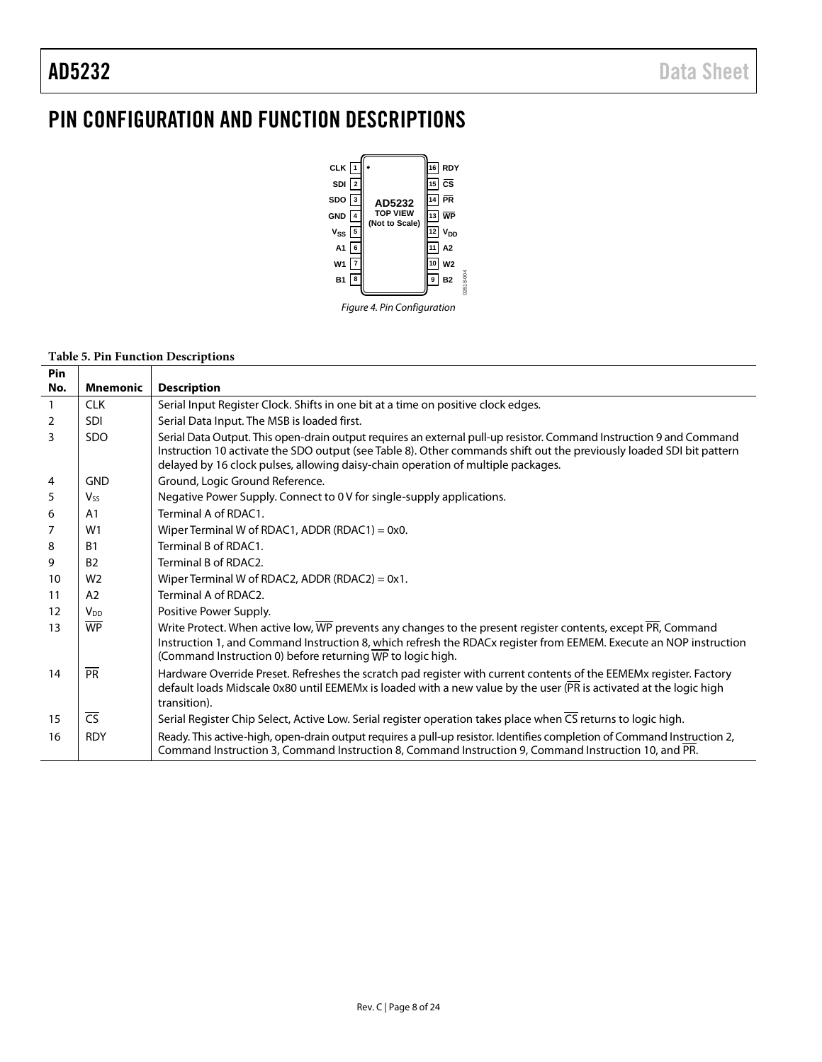# <span id="page-7-0"></span>PIN CONFIGURATION AND FUNCTION DESCRIPTIONS



#### **Table 5. Pin Function Descriptions**

| <b>Pin</b>   |                          |                                                                                                                                                                                                                                                                                                                                 |
|--------------|--------------------------|---------------------------------------------------------------------------------------------------------------------------------------------------------------------------------------------------------------------------------------------------------------------------------------------------------------------------------|
| No.          | <b>Mnemonic</b>          | <b>Description</b>                                                                                                                                                                                                                                                                                                              |
| $\mathbf{1}$ | <b>CLK</b>               | Serial Input Register Clock. Shifts in one bit at a time on positive clock edges.                                                                                                                                                                                                                                               |
| 2            | <b>SDI</b>               | Serial Data Input. The MSB is loaded first.                                                                                                                                                                                                                                                                                     |
| 3            | <b>SDO</b>               | Serial Data Output. This open-drain output requires an external pull-up resistor. Command Instruction 9 and Command<br>Instruction 10 activate the SDO output (see Table 8). Other commands shift out the previously loaded SDI bit pattern<br>delayed by 16 clock pulses, allowing daisy-chain operation of multiple packages. |
| 4            | <b>GND</b>               | Ground, Logic Ground Reference.                                                                                                                                                                                                                                                                                                 |
| 5            | Vss                      | Negative Power Supply. Connect to 0 V for single-supply applications.                                                                                                                                                                                                                                                           |
| 6            | A1                       | Terminal A of RDAC1.                                                                                                                                                                                                                                                                                                            |
| 7            | W1                       | Wiper Terminal W of RDAC1, ADDR (RDAC1) = $0x0$ .                                                                                                                                                                                                                                                                               |
| 8            | <b>B1</b>                | Terminal B of RDAC1.                                                                                                                                                                                                                                                                                                            |
| 9            | B <sub>2</sub>           | Terminal B of RDAC2.                                                                                                                                                                                                                                                                                                            |
| 10           | W <sub>2</sub>           | Wiper Terminal W of RDAC2, ADDR (RDAC2) = $0x1$ .                                                                                                                                                                                                                                                                               |
| 11           | A2                       | Terminal A of RDAC2.                                                                                                                                                                                                                                                                                                            |
| 12           | <b>V<sub>DD</sub></b>    | Positive Power Supply.                                                                                                                                                                                                                                                                                                          |
| 13           | <b>WP</b>                | Write Protect. When active low, WP prevents any changes to the present register contents, except PR, Command<br>Instruction 1, and Command Instruction 8, which refresh the RDACx register from EEMEM. Execute an NOP instruction<br>(Command Instruction 0) before returning WP to logic high.                                 |
| 14           | PR                       | Hardware Override Preset. Refreshes the scratch pad register with current contents of the EEMEMx register. Factory<br>default loads Midscale 0x80 until EEMEMx is loaded with a new value by the user (PR is activated at the logic high<br>transition).                                                                        |
| 15           | $\overline{\mathsf{CS}}$ | Serial Register Chip Select, Active Low. Serial register operation takes place when CS returns to logic high.                                                                                                                                                                                                                   |
| 16           | <b>RDY</b>               | Ready. This active-high, open-drain output requires a pull-up resistor. Identifies completion of Command Instruction 2,<br>Command Instruction 3, Command Instruction 8, Command Instruction 9, Command Instruction 10, and PR.                                                                                                 |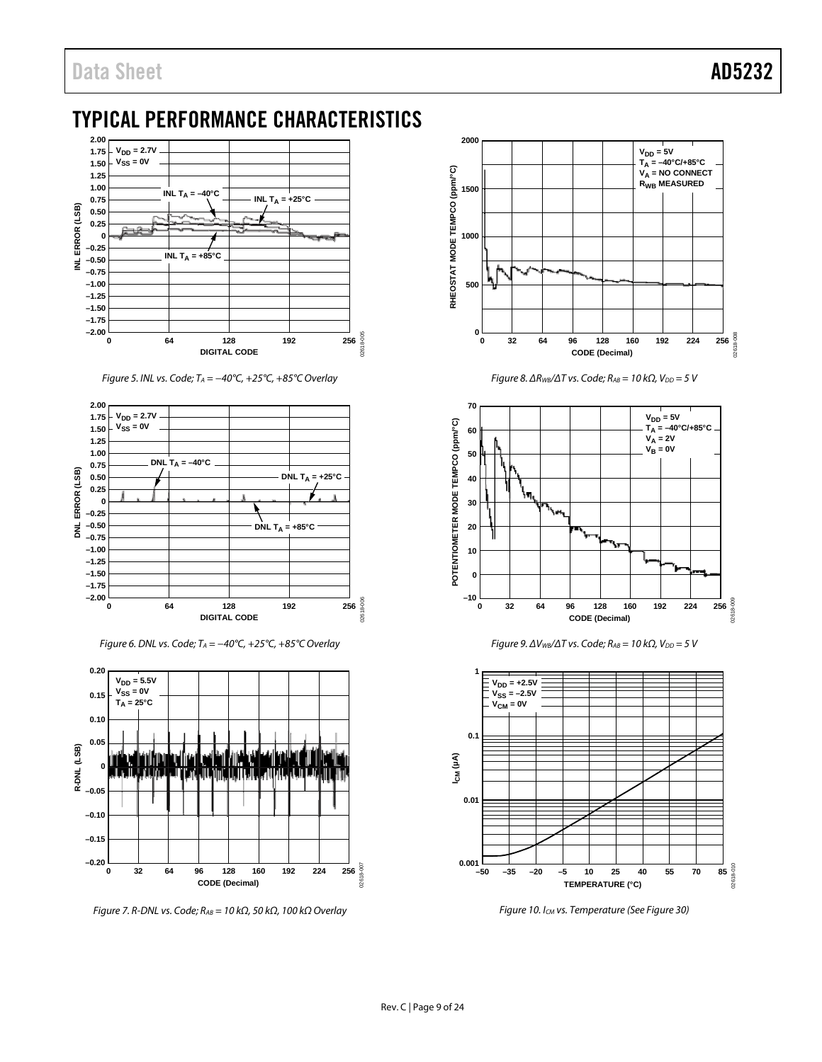# <span id="page-8-0"></span>TYPICAL PERFORMANCE CHARACTERISTICS



*Figure 5. INL vs. Code; TA = −40°C, +25°C, +85°C Overlay*



*Figure 6. DNL vs. Code; TA = −40°C, +25°C, +85°C Overlay*



*Figure 7. R-DNL vs. Code; RAB = 10 kΩ, 50 kΩ, 100 kΩ Overlay*



*Figure 8. ΔR<sub>WB</sub>*/ $\Delta T$  *vs. Code; R<sub>AB</sub>* = 10 kΩ,  $V_{DD}$  = 5 V







*Figure 10. ICM vs. Temperature (Se[e Figure 30\)](#page-12-0)*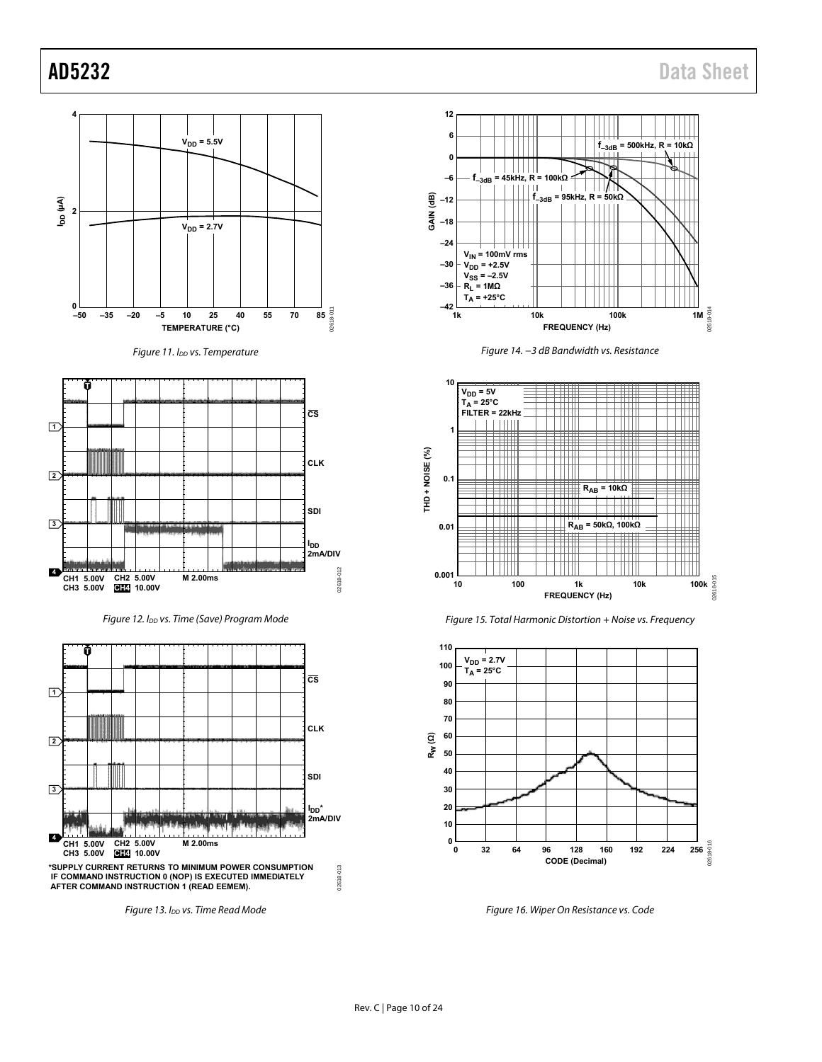<span id="page-9-1"></span>

<span id="page-9-0"></span>Rev. C | Page 10 of 24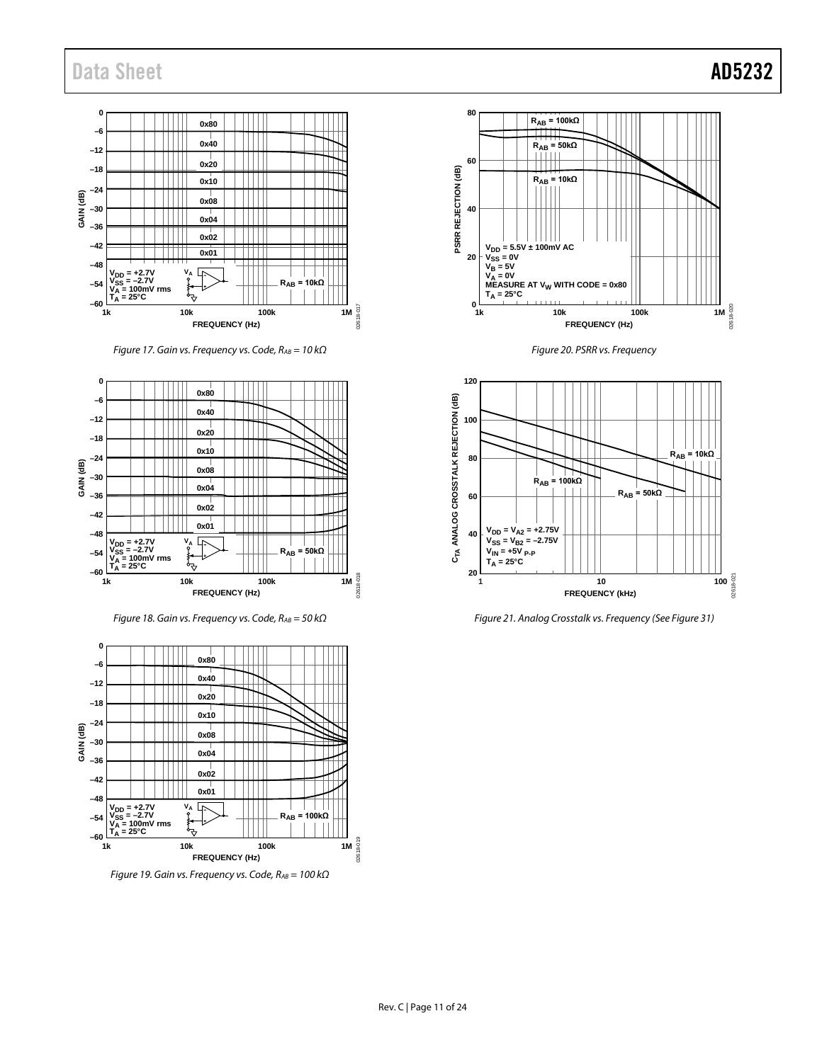

*Figure 17. Gain vs. Frequency vs. Code, RAB = 10 kΩ*



*Figure 18. Gain vs. Frequency vs. Code, RAB = 50 kΩ*



*Figure 19. Gain vs. Frequency vs. Code, RAB = 100 kΩ*







*Figure 21. Analog Crosstalk vs. Frequency (Se[e Figure 31\)](#page-12-1)*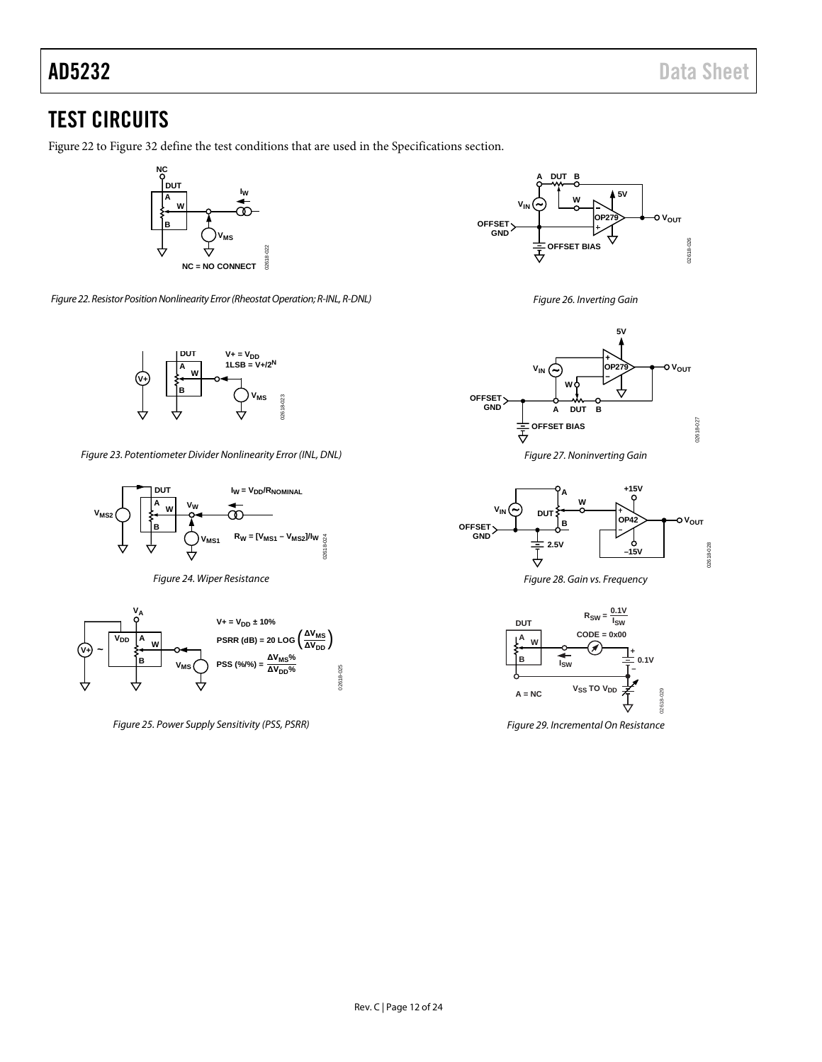# <span id="page-11-0"></span>TEST CIRCUITS

[Figure 22](#page-11-1) to [Figure 32](#page-12-2) define the test conditions that are used in the [Specifications](#page-2-0) section.



<span id="page-11-1"></span>*Figure 22. Resistor Position Nonlinearity Error (Rheostat Operation; R-INL, R-DNL)*



<span id="page-11-2"></span>*Figure 23. Potentiometer Divider Nonlinearity Error (INL, DNL)*



*Figure 24. Wiper Resistance*



*Figure 25. Power Supply Sensitivity (PSS, PSRR)*



*Figure 26. Inverting Gain*



*Figure 27. Noninverting Gain*



*Figure 28. Gain vs. Frequency*



*Figure 29. Incremental On Resistance*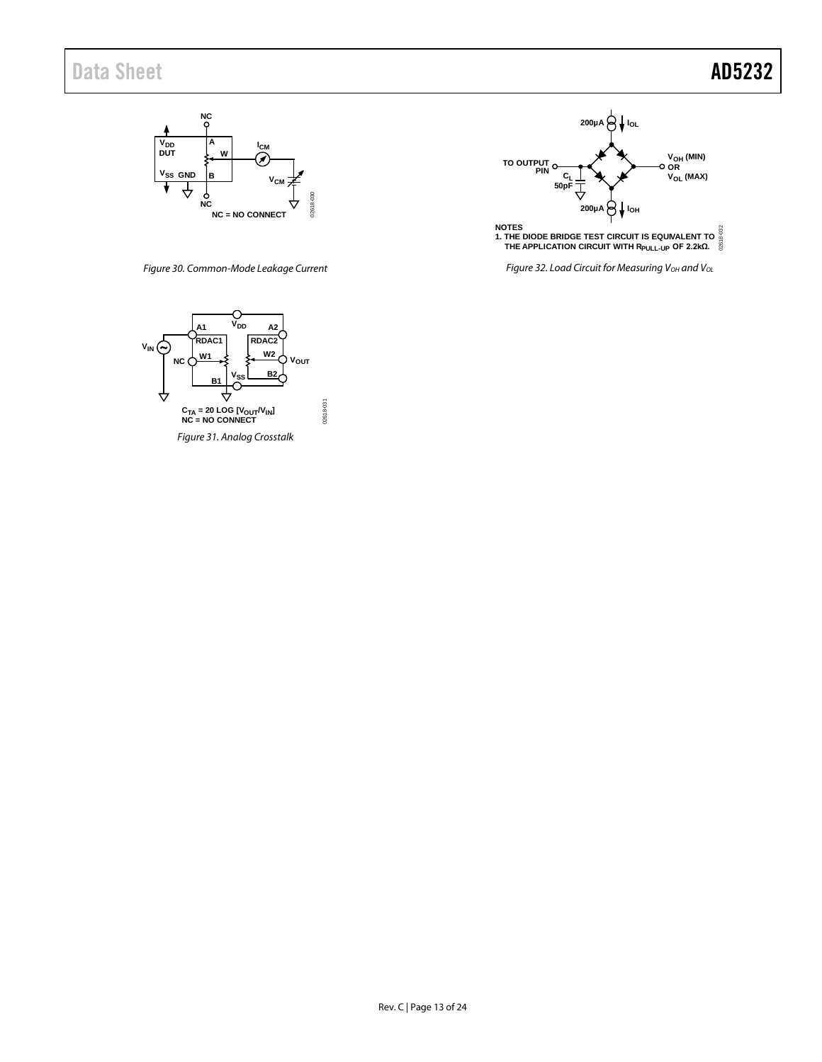



<span id="page-12-0"></span>*Figure 30. Common-Mode Leakage Current*



<span id="page-12-1"></span>*Figure 31. Analog Crosstalk*

02618-031

02618-031

<span id="page-12-2"></span>*Figure 32. Load Circuit for Measuring V<sub>OH</sub> and V<sub>OL</sub>*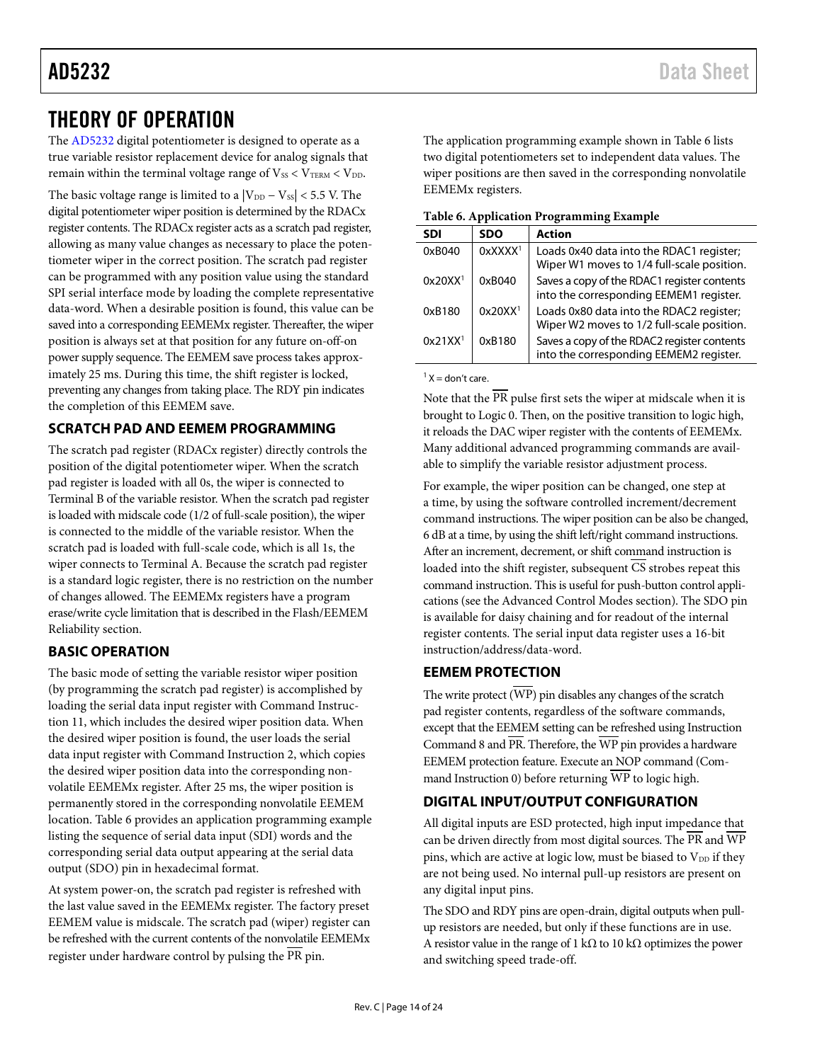# <span id="page-13-0"></span>THEORY OF OPERATION

The [AD5232](http://www.analog.com/AD5232?doc=AD5232.pdf) digital potentiometer is designed to operate as a true variable resistor replacement device for analog signals that remain within the terminal voltage range of  $V_{SS} < V_{TERM} < V_{DD}$ .

The basic voltage range is limited to a  $|V_{DD} - V_{SS}|$  < 5.5 V. The digital potentiometer wiper position is determined by the RDACx register contents. The RDACx register acts as a scratch pad register, allowing as many value changes as necessary to place the potentiometer wiper in the correct position. The scratch pad register can be programmed with any position value using the standard SPI serial interface mode by loading the complete representative data-word. When a desirable position is found, this value can be saved into a corresponding EEMEMx register. Thereafter, the wiper position is always set at that position for any future on-off-on power supply sequence. The EEMEM save process takes approximately 25 ms. During this time, the shift register is locked, preventing any changes from taking place. The RDY pin indicates the completion of this EEMEM save.

### <span id="page-13-1"></span>**SCRATCH PAD AND EEMEM PROGRAMMING**

The scratch pad register (RDACx register) directly controls the position of the digital potentiometer wiper. When the scratch pad register is loaded with all 0s, the wiper is connected to Terminal B of the variable resistor. When the scratch pad register is loaded with midscale code (1/2 of full-scale position), the wiper is connected to the middle of the variable resistor. When the scratch pad is loaded with full-scale code, which is all 1s, the wiper connects to Terminal A. Because the scratch pad register is a standard logic register, there is no restriction on the number of changes allowed. The EEMEMx registers have a program erase/write cycle limitation that is described in th[e Flash/EEMEM](#page-20-1)  [Reliability](#page-20-1) section.

### <span id="page-13-2"></span>**BASIC OPERATION**

The basic mode of setting the variable resistor wiper position (by programming the scratch pad register) is accomplished by loading the serial data input register with Command Instruction 11, which includes the desired wiper position data. When the desired wiper position is found, the user loads the serial data input register with Command Instruction 2, which copies the desired wiper position data into the corresponding nonvolatile EEMEMx register. After 25 ms, the wiper position is permanently stored in the corresponding nonvolatile EEMEM location. [Table 6](#page-13-5) provides an application programming example listing the sequence of serial data input (SDI) words and the corresponding serial data output appearing at the serial data output (SDO) pin in hexadecimal format.

At system power-on, the scratch pad register is refreshed with the last value saved in the EEMEMx register. The factory preset EEMEM value is midscale. The scratch pad (wiper) register can be refreshed with the current contents of the nonvolatile EEMEMx register under hardware control by pulsing the PR pin.

The application programming example shown i[n Table 6](#page-13-5) lists two digital potentiometers set to independent data values. The wiper positions are then saved in the corresponding nonvolatile EEMEMx registers.

<span id="page-13-5"></span>

|  | Table 6. Application Programming Example |  |
|--|------------------------------------------|--|
|  |                                          |  |

| Table of <i>Application 1 Togramming Litampic</i> |                        |                                                                                        |  |  |  |
|---------------------------------------------------|------------------------|----------------------------------------------------------------------------------------|--|--|--|
| <b>SDI</b>                                        | <b>SDO</b>             | <b>Action</b>                                                                          |  |  |  |
| 0xB040                                            | $0x$ XXXX <sup>1</sup> | Loads 0x40 data into the RDAC1 register;<br>Wiper W1 moves to 1/4 full-scale position. |  |  |  |
| 0x20XX <sup>1</sup>                               | 0xB040                 | Saves a copy of the RDAC1 register contents<br>into the corresponding EEMEM1 register. |  |  |  |
| 0xB180                                            | 0x20XX <sup>1</sup>    | Loads 0x80 data into the RDAC2 register;<br>Wiper W2 moves to 1/2 full-scale position. |  |  |  |
| 0x21XX <sup>1</sup>                               | 0xB180                 | Saves a copy of the RDAC2 register contents<br>into the corresponding EEMEM2 register. |  |  |  |

 $<sup>1</sup> X = don't care$ </sup>

Note that the PR pulse first sets the wiper at midscale when it is brought to Logic 0. Then, on the positive transition to logic high, it reloads the DAC wiper register with the contents of EEMEMx. Many additional advanced programming commands are available to simplify the variable resistor adjustment process.

For example, the wiper position can be changed, one step at a time, by using the software controlled increment/decrement command instructions. The wiper position can be also be changed, 6 dB at a time, by using the shift left/right command instructions. After an increment, decrement, or shift command instruction is loaded into the shift register, subsequent  $\overline{\text{CS}}$  strobes repeat this command instruction. This is useful for push-button control applications (see the [Advanced Control Modes](#page-16-0) section). The SDO pin is available for daisy chaining and for readout of the internal register contents. The serial input data register uses a 16-bit instruction/address/data-word.

### <span id="page-13-3"></span>**EEMEM PROTECTION**

The write protect  $(\overline{\text{WP}})$  pin disables any changes of the scratch pad register contents, regardless of the software commands, except that the EEMEM setting can be refreshed using Instruction Command 8 and  $\overline{\text{PR}}$ . Therefore, the  $\overline{\text{WP}}$  pin provides a hardware EEMEM protection feature. Execute an NOP command (Command Instruction 0) before returning  $\overline{WP}$  to logic high.

### <span id="page-13-4"></span>**DIGITAL INPUT/OUTPUT CONFIGURATION**

All digital inputs are ESD protected, high input impedance that can be driven directly from most digital sources. The PR and WP pins, which are active at logic low, must be biased to  $V_{DD}$  if they are not being used. No internal pull-up resistors are present on any digital input pins.

The SDO and RDY pins are open-drain, digital outputs when pullup resistors are needed, but only if these functions are in use. A resistor value in the range of 1 k $\Omega$  to 10 k $\Omega$  optimizes the power and switching speed trade-off.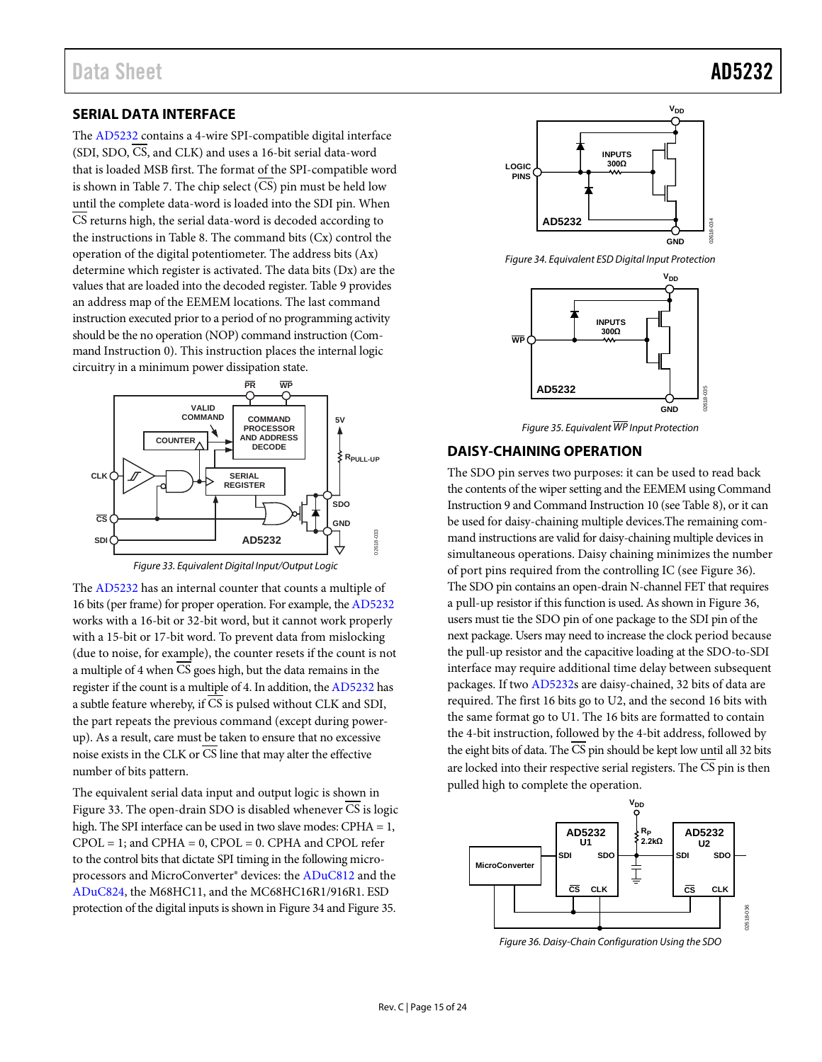#### <span id="page-14-0"></span>**SERIAL DATA INTERFACE**

The [AD5232](http://www.analog.com/AD5232?doc=AD5232.pdf) contains a 4-wire SPI-compatible digital interface (SDI, SDO, CS, and CLK) and uses a 16-bit serial data-word that is loaded MSB first. The format of the SPI-compatible word is shown in [Table 7.](#page-15-1) The chip select (CS) pin must be held low until the complete data-word is loaded into the SDI pin. When CS returns high, the serial data-word is decoded according to the instructions in [Table 8.](#page-15-0) The command bits (Cx) control the operation of the digital potentiometer. The address bits (Ax) determine which register is activated. The data bits (Dx) are the values that are loaded into the decoded register. [Table 9](#page-17-3) provides an address map of the EEMEM locations. The last command instruction executed prior to a period of no programming activity should be the no operation (NOP) command instruction (Command Instruction 0). This instruction places the internal logic circuitry in a minimum power dissipation state.



*Figure 33. Equivalent Digital Input/Output Logic*

<span id="page-14-2"></span>The [AD5232](http://www.analog.com/AD5232?doc=AD5232.pdf) has an internal counter that counts a multiple of 16 bits (per frame) for proper operation. For example, th[e AD5232](http://www.analog.com/AD5232?doc=AD5232.pdf) works with a 16-bit or 32-bit word, but it cannot work properly with a 15-bit or 17-bit word. To prevent data from mislocking (due to noise, for example), the counter resets if the count is not a multiple of 4 when CS goes high, but the data remains in the register if the count is a multiple of 4. In addition, th[e AD5232](http://www.analog.com/AD5232?doc=AD5232.pdf) has a subtle feature whereby, if CS is pulsed without CLK and SDI, the part repeats the previous command (except during powerup). As a result, care must be taken to ensure that no excessive noise exists in the CLK or CS line that may alter the effective number of bits pattern.

The equivalent serial data input and output logic is shown in [Figure 33.](#page-14-2) The open-drain SDO is disabled whenever CS is logic high. The SPI interface can be used in two slave modes: CPHA = 1,  $CPOL = 1$ ; and  $CPHA = 0$ ,  $CPOL = 0$ .  $CPHA$  and  $CPOL$  refer to the control bits that dictate SPI timing in the following microprocessors and MicroConverter® devices: th[e ADuC812](http://www.analog.com/ADUC812?doc=AD5232.pdf) and the [ADuC824,](http://www.analog.com/ADUC824?doc=AD5232.pdf) the M68HC11, and the MC68HC16R1/916R1. ESD protection of the digital inputs is shown i[n Figure 34](#page-14-3) an[d Figure 35.](#page-14-4)



<span id="page-14-3"></span>*Figure 34. Equivalent ESD Digital Input Protection*



*Figure 35. Equivalent WP Input Protection*

#### <span id="page-14-4"></span><span id="page-14-1"></span>**DAISY-CHAINING OPERATION**

The SDO pin serves two purposes: it can be used to read back the contents of the wiper setting and the EEMEM using Command Instruction 9 and Command Instruction 10 (se[e Table 8\)](#page-15-0), or it can be used for daisy-chaining multiple devices.The remaining command instructions are valid for daisy-chaining multiple devices in simultaneous operations. Daisy chaining minimizes the number of port pins required from the controlling IC (see [Figure 36\)](#page-14-5). The SDO pin contains an open-drain N-channel FET that requires a pull-up resistor if this function is used. As shown i[n Figure 36,](#page-14-5)  users must tie the SDO pin of one package to the SDI pin of the next package. Users may need to increase the clock period because the pull-up resistor and the capacitive loading at the SDO-to-SDI interface may require additional time delay between subsequent packages. If two [AD5232s](http://www.analog.com/AD5232?doc=AD5232.pdf) are daisy-chained, 32 bits of data are required. The first 16 bits go to U2, and the second 16 bits with the same format go to U1. The 16 bits are formatted to contain the 4-bit instruction, followed by the 4-bit address, followed by the eight bits of data. The CS pin should be kept low until all 32 bits are locked into their respective serial registers. The  $\overline{\text{CS}}$  pin is then pulled high to complete the operation.



<span id="page-14-5"></span>*Figure 36. Daisy-Chain Configuration Using the SDO*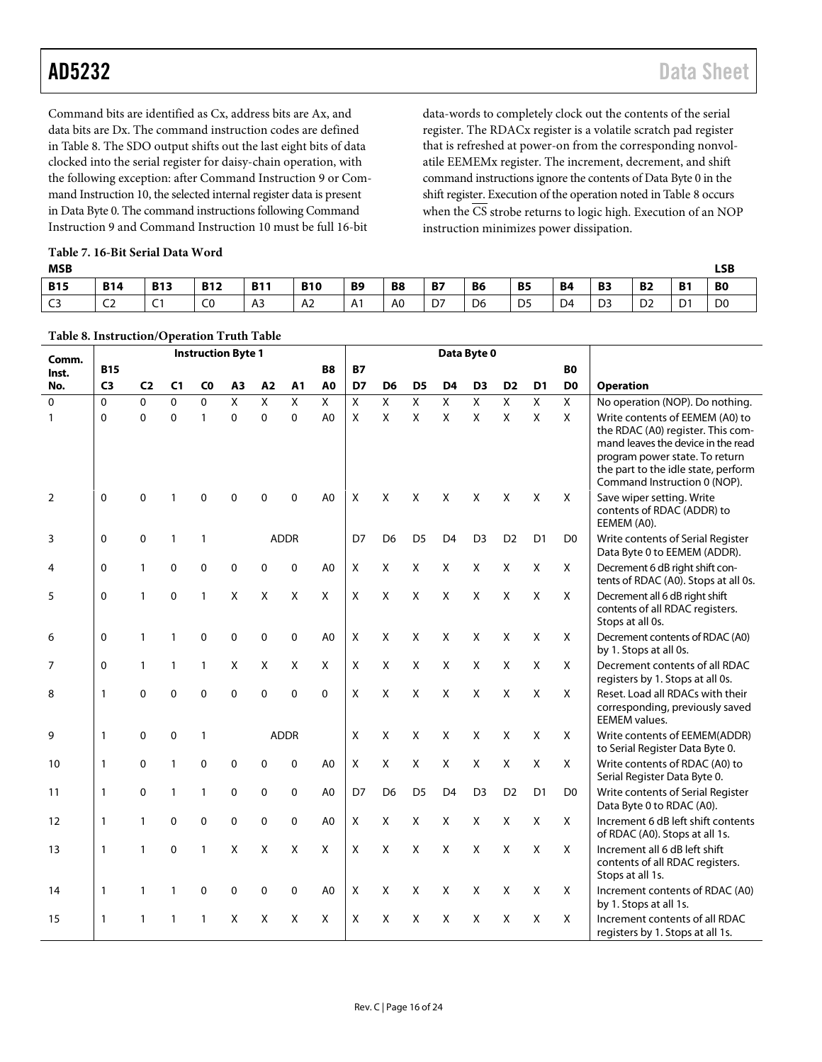Command bits are identified as Cx, address bits are Ax, and data bits are Dx. The command instruction codes are defined in [Table 8.](#page-15-0) The SDO output shifts out the last eight bits of data clocked into the serial register for daisy-chain operation, with the following exception: after Command Instruction 9 or Command Instruction 10, the selected internal register data is present in Data Byte 0. The command instructions following Command Instruction 9 and Command Instruction 10 must be full 16-bit

data-words to completely clock out the contents of the serial register. The RDACx register is a volatile scratch pad register that is refreshed at power-on from the corresponding nonvolatile EEMEMx register. The increment, decrement, and shift command instructions ignore the contents of Data Byte 0 in the shift register. Execution of the operation noted i[n Table 8](#page-15-0) occurs when the  $\overline{\text{CS}}$  strobe returns to logic high. Execution of an NOP instruction minimizes power dissipation.

<span id="page-15-1"></span>

| Table 7. 16-Bit Serial Data Word |  |  |  |  |
|----------------------------------|--|--|--|--|
|----------------------------------|--|--|--|--|

<span id="page-15-0"></span>**Table 8. Instruction/Operation Truth Table**

| <b>MSB</b>     |             |                    |              |            |              |           |                |           |                |                |                |                |                                                   |                | LSB            |
|----------------|-------------|--------------------|--------------|------------|--------------|-----------|----------------|-----------|----------------|----------------|----------------|----------------|---------------------------------------------------|----------------|----------------|
| <b>B15</b>     | <b>B14</b>  | <b>B13</b>         | <b>B12</b>   | <b>B11</b> | <b>B10</b>   | <b>B9</b> | B <sub>8</sub> | <b>B7</b> | <b>B6</b>      | <b>B5</b>      | <b>B4</b>      | <b>B3</b>      | <b>B2</b>                                         | <b>B1</b>      | B <sub>0</sub> |
| C <sub>3</sub> | $\sim$<br>∽ | $\sim$<br>$\sim$ 1 | $\sim$<br>cυ | A3         | $\sim$<br>A2 | A1        | A <sub>0</sub> | D7        | D <sub>6</sub> | D <sub>5</sub> | D <sub>4</sub> | D <sub>3</sub> | D <sub>2</sub><br>the contract of the contract of | D <sub>1</sub> | D <sub>0</sub> |

|                |                | raoic o, mon action, o peration Train Taoic<br><b>Instruction Byte 1</b> |                |                |                |              |             | Data Byte 0    |                           |                |                |                |                |                           |                |                |                                                                                                                                                                                                                     |
|----------------|----------------|--------------------------------------------------------------------------|----------------|----------------|----------------|--------------|-------------|----------------|---------------------------|----------------|----------------|----------------|----------------|---------------------------|----------------|----------------|---------------------------------------------------------------------------------------------------------------------------------------------------------------------------------------------------------------------|
| Comm.<br>Inst. | <b>B15</b>     |                                                                          |                |                |                |              |             | <b>B8</b>      | <b>B7</b>                 |                |                |                |                |                           |                | <b>BO</b>      |                                                                                                                                                                                                                     |
| No.            | C <sub>3</sub> | C <sub>2</sub>                                                           | C <sub>1</sub> | C <sub>0</sub> | A <sub>3</sub> | A2           | A1          | A <sub>0</sub> | D7                        | D <sub>6</sub> | D <sub>5</sub> | D <sub>4</sub> | D <sub>3</sub> | D <sub>2</sub>            | D <sub>1</sub> | D <sub>0</sub> | <b>Operation</b>                                                                                                                                                                                                    |
| $\Omega$       | $\Omega$       | $\Omega$                                                                 | $\Omega$       | $\Omega$       | X              | X            | X           | X              | $\overline{X}$            | $\overline{X}$ | X              | X              | X              | $\overline{X}$            | X              | X              | No operation (NOP). Do nothing.                                                                                                                                                                                     |
| $\mathbf{1}$   | 0              | $\mathbf 0$                                                              | $\overline{0}$ | $\mathbf{1}$   | $\mathbf 0$    | $\mathbf 0$  | $\mathbf 0$ | A <sub>0</sub> | $\boldsymbol{\mathsf{x}}$ | X              | $\mathsf{x}$   | X              | $\mathsf{x}$   | $\boldsymbol{\mathsf{x}}$ | Χ              | $\mathsf{x}$   | Write contents of EEMEM (A0) to<br>the RDAC (A0) register. This com-<br>mand leaves the device in the read<br>program power state. To return<br>the part to the idle state, perform<br>Command Instruction 0 (NOP). |
| 2              | $\Omega$       | $\mathbf 0$                                                              |                |                | n              | 0            | $\Omega$    | A0             | X                         | X              | X              | X              | X              | X                         | X              | X              | Save wiper setting. Write<br>contents of RDAC (ADDR) to<br>EEMEM (A0).                                                                                                                                              |
| 3              | $\Omega$       | 0                                                                        | 1              | $\mathbf{1}$   |                |              | <b>ADDR</b> |                | D7                        | D <sub>6</sub> | D <sub>5</sub> | D <sub>4</sub> | D <sub>3</sub> | D <sub>2</sub>            | D <sub>1</sub> | D0             | Write contents of Serial Register<br>Data Byte 0 to EEMEM (ADDR).                                                                                                                                                   |
| 4              | $\mathbf{0}$   | 1                                                                        | 0              | $\mathbf{0}$   | 0              | 0            | 0           | A <sub>0</sub> | X                         | X              | X              | X              | X              | X                         | X              | X              | Decrement 6 dB right shift con-<br>tents of RDAC (A0). Stops at all 0s.                                                                                                                                             |
| 5              | 0              | $\mathbf{1}$                                                             | 0              | $\mathbf{1}$   | Χ              | X            | X           | X              | X                         | X              | X              | X              | Χ              | X                         | X              | X              | Decrement all 6 dB right shift<br>contents of all RDAC registers.<br>Stops at all 0s.                                                                                                                               |
| 6              | $\Omega$       | $\mathbf{1}$                                                             | 1              | $\Omega$       | 0              | 0            | 0           | A <sub>0</sub> | X                         | X              | X              | X              | X              | X                         | X              | X              | Decrement contents of RDAC (A0)<br>by 1. Stops at all 0s.                                                                                                                                                           |
| $\overline{7}$ | 0              | $\mathbf{1}$                                                             | 1              | $\mathbf{1}$   | Χ              | X            | X           | X              | X                         | X              | X              | X              | X              | $\mathsf{X}$              | X              | X              | Decrement contents of all RDAC<br>registers by 1. Stops at all 0s.                                                                                                                                                  |
| 8              | 1              | 0                                                                        | 0              | 0              | 0              | 0            | 0           | $\mathbf{0}$   | X                         | X              | X              | X              | X              | X                         | X              | X              | Reset. Load all RDACs with their<br>corresponding, previously saved<br><b>EEMEM</b> values.                                                                                                                         |
| 9              | $\mathbf{1}$   | $\mathbf 0$                                                              | 0              | 1              |                |              | <b>ADDR</b> |                | X                         | X              | X              | X              | X              | X                         | X              | X              | Write contents of EEMEM(ADDR)<br>to Serial Register Data Byte 0.                                                                                                                                                    |
| 10             | $\mathbf{1}$   | 0                                                                        | 1              | $\Omega$       | 0              | $\mathbf{0}$ | $\Omega$    | A <sub>0</sub> | X                         | X              | X              | X              | X              | $\mathsf{X}$              | X              | X              | Write contents of RDAC (A0) to<br>Serial Register Data Byte 0.                                                                                                                                                      |
| 11             | 1              | 0                                                                        | 1              | 1              | 0              | 0            | 0           | A <sub>0</sub> | D7                        | D <sub>6</sub> | D <sub>5</sub> | D <sub>4</sub> | D <sub>3</sub> | D <sub>2</sub>            | D <sub>1</sub> | D <sub>0</sub> | Write contents of Serial Register<br>Data Byte 0 to RDAC (A0).                                                                                                                                                      |
| 12             | 1              | 1                                                                        | 0              | 0              | 0              | 0            | 0           | A <sub>0</sub> | X                         | X              | X              | X              | X              | X                         | X              | X              | Increment 6 dB left shift contents<br>of RDAC (A0). Stops at all 1s.                                                                                                                                                |
| 13             | 1              | 1                                                                        | 0              | 1              | X              | Χ            | X           | X              | X                         | X              | X              | X              | X              | X                         | X              | X              | Increment all 6 dB left shift<br>contents of all RDAC registers.<br>Stops at all 1s.                                                                                                                                |
| 14             | 1              | 1                                                                        | 1              | 0              | 0              | 0            | 0           | A <sub>0</sub> | X                         | X              | X              | X              | X              | X                         | X              | X              | Increment contents of RDAC (A0)<br>by 1. Stops at all 1s.                                                                                                                                                           |
| 15             | 1              | 1                                                                        |                | 1              | X              | X            | X           | X              | X                         | X              | X              | X              | Χ              | X                         | Χ              | X              | Increment contents of all RDAC<br>registers by 1. Stops at all 1s.                                                                                                                                                  |

Rev. C | Page 16 of 24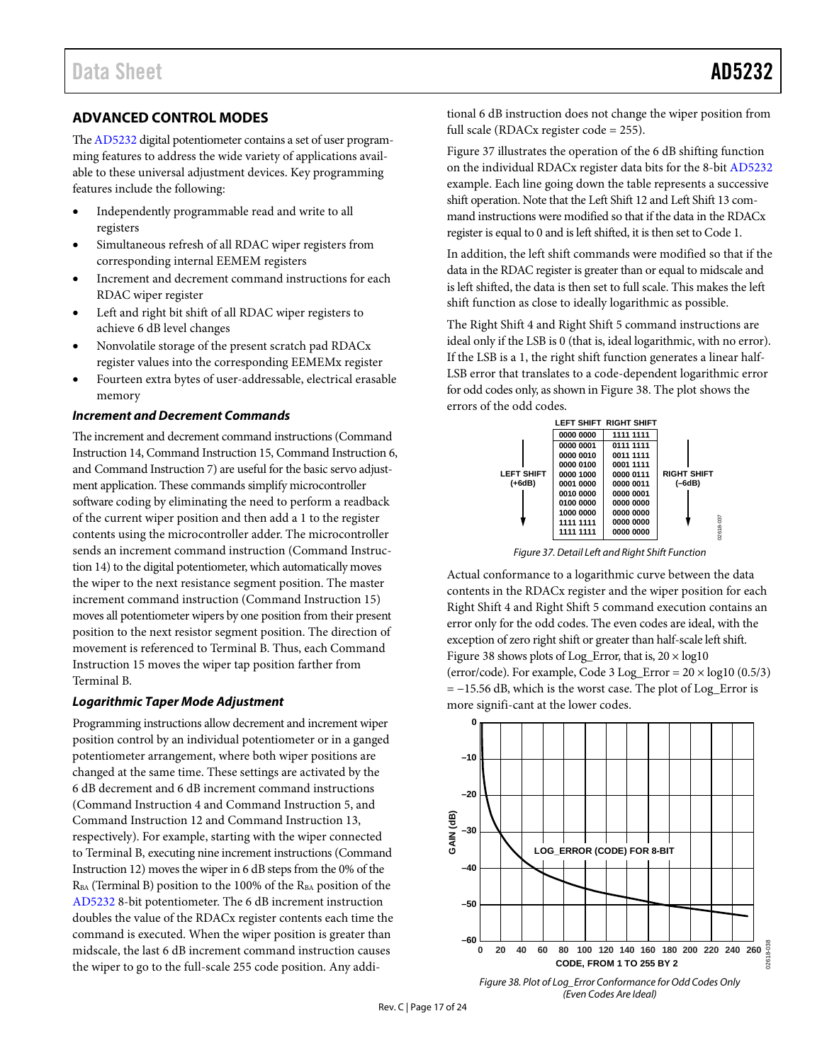#### <span id="page-16-0"></span>**ADVANCED CONTROL MODES**

Th[e AD5232](http://www.analog.com/AD5232?doc=AD5232.pdf) digital potentiometer contains a set of user programming features to address the wide variety of applications available to these universal adjustment devices. Key programming features include the following:

- Independently programmable read and write to all registers
- Simultaneous refresh of all RDAC wiper registers from corresponding internal EEMEM registers
- Increment and decrement command instructions for each RDAC wiper register
- Left and right bit shift of all RDAC wiper registers to achieve 6 dB level changes
- Nonvolatile storage of the present scratch pad RDACx register values into the corresponding EEMEMx register
- Fourteen extra bytes of user-addressable, electrical erasable memory

#### *Increment and Decrement Commands*

The increment and decrement command instructions (Command Instruction 14, Command Instruction 15, Command Instruction 6, and Command Instruction 7) are useful for the basic servo adjustment application. These commands simplify microcontroller software coding by eliminating the need to perform a readback of the current wiper position and then add a 1 to the register contents using the microcontroller adder. The microcontroller sends an increment command instruction (Command Instruction 14) to the digital potentiometer, which automatically moves the wiper to the next resistance segment position. The master increment command instruction (Command Instruction 15) moves all potentiometer wipers by one position from their present position to the next resistor segment position. The direction of movement is referenced to Terminal B. Thus, each Command Instruction 15 moves the wiper tap position farther from Terminal B.

#### *Logarithmic Taper Mode Adjustment*

Programming instructions allow decrement and increment wiper position control by an individual potentiometer or in a ganged potentiometer arrangement, where both wiper positions are changed at the same time. These settings are activated by the 6 dB decrement and 6 dB increment command instructions (Command Instruction 4 and Command Instruction 5, and Command Instruction 12 and Command Instruction 13, respectively). For example, starting with the wiper connected to Terminal B, executing nine increment instructions (Command Instruction 12) moves the wiper in 6 dB steps from the 0% of the R<sub>BA</sub> (Terminal B) position to the 100% of the R<sub>BA</sub> position of the [AD5232](http://www.analog.com/AD5232?doc=AD5232.pdf) 8-bit potentiometer. The 6 dB increment instruction doubles the value of the RDACx register contents each time the command is executed. When the wiper position is greater than midscale, the last 6 dB increment command instruction causes the wiper to go to the full-scale 255 code position. Any additional 6 dB instruction does not change the wiper position from full scale (RDACx register code = 255).

[Figure 37](#page-16-1) illustrates the operation of the 6 dB shifting function on the individual RDACx register data bits for the 8-bit [AD5232](http://www.analog.com/AD5232?doc=AD5232.pdf) example. Each line going down the table represents a successive shift operation. Note that the Left Shift 12 and Left Shift 13 command instructions were modified so that if the data in the RDACx register is equal to 0 and is left shifted, it is then set to Code 1.

In addition, the left shift commands were modified so that if the data in the RDAC register is greater than or equal to midscale and is left shifted, the data is then set to full scale. This makes the left shift function as close to ideally logarithmic as possible.

The Right Shift 4 and Right Shift 5 command instructions are ideal only if the LSB is 0 (that is, ideal logarithmic, with no error). If the LSB is a 1, the right shift function generates a linear half-LSB error that translates to a code-dependent logarithmic error for odd codes only, as shown i[n Figure 38.](#page-16-2) The plot shows the errors of the odd codes.



*Figure 37. Detail Left and Right Shift Function* 

<span id="page-16-1"></span>Actual conformance to a logarithmic curve between the data contents in the RDACx register and the wiper position for each Right Shift 4 and Right Shift 5 command execution contains an error only for the odd codes. The even codes are ideal, with the exception of zero right shift or greater than half-scale left shift. [Figure 38](#page-16-2) shows plots of Log\_Error, that is,  $20 \times log10$ (error/code). For example, Code 3 Log\_Error =  $20 \times log10 (0.5/3)$ = −15.56 dB, which is the worst case. The plot of Log\_Error is more signifi-cant at the lower codes.



<span id="page-16-2"></span>*Figure 38. Plot of Log\_Error Conformance for Odd Codes Only (Even Codes Are Ideal)*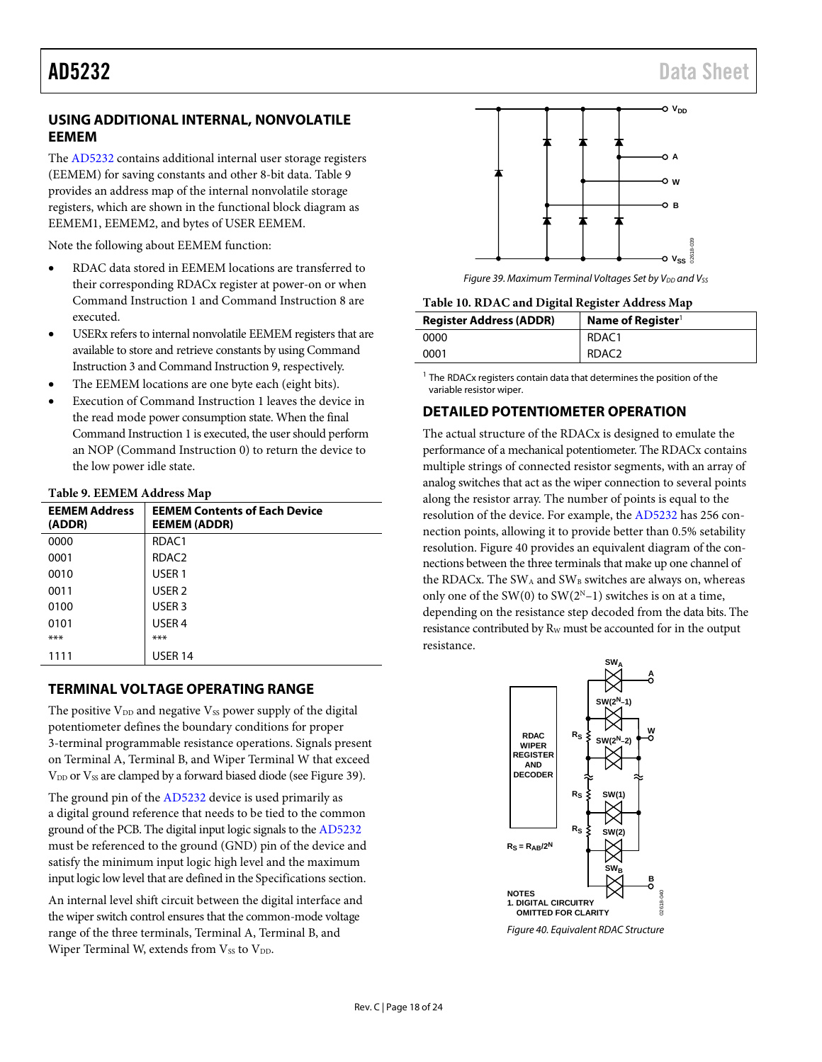#### <span id="page-17-0"></span>**USING ADDITIONAL INTERNAL, NONVOLATILE EEMEM**

The [AD5232](http://www.analog.com/AD5232?doc=AD5232.pdf) contains additional internal user storage registers (EEMEM) for saving constants and other 8-bit data[. Table 9](#page-17-3) provides an address map of the internal nonvolatile storage registers, which are shown in the functional block diagram as EEMEM1, EEMEM2, and bytes of USER EEMEM.

Note the following about EEMEM function:

- RDAC data stored in EEMEM locations are transferred to their corresponding RDACx register at power-on or when Command Instruction 1 and Command Instruction 8 are executed.
- USERx refers to internal nonvolatile EEMEM registers that are available to store and retrieve constants by using Command Instruction 3 and Command Instruction 9, respectively.
- The EEMEM locations are one byte each (eight bits).
- Execution of Command Instruction 1 leaves the device in the read mode power consumption state. When the final Command Instruction 1 is executed, the user should perform an NOP (Command Instruction 0) to return the device to the low power idle state.

#### <span id="page-17-3"></span>**Table 9. EEMEM Address Map**

| <b>EEMEM Address</b><br>(ADDR) | <b>EEMEM Contents of Each Device</b><br><b>EEMEM (ADDR)</b> |
|--------------------------------|-------------------------------------------------------------|
| 0000                           | RDAC1                                                       |
| 0001                           | RDAC <sub>2</sub>                                           |
| 0010                           | USER <sub>1</sub>                                           |
| 0011                           | USER <sub>2</sub>                                           |
| 0100                           | USER <sub>3</sub>                                           |
| 0101                           | USER <sub>4</sub>                                           |
| ***                            | $***$                                                       |
| 1111                           | <b>USER 14</b>                                              |

#### <span id="page-17-1"></span>**TERMINAL VOLTAGE OPERATING RANGE**

The positive  $V_{DD}$  and negative  $V_{SS}$  power supply of the digital potentiometer defines the boundary conditions for proper 3-terminal programmable resistance operations. Signals present on Terminal A, Terminal B, and Wiper Terminal W that exceed V<sub>DD</sub> or V<sub>SS</sub> are clamped by a forward biased diode (se[e Figure 39\)](#page-17-4).

The ground pin of th[e AD5232](http://www.analog.com/AD5232?doc=AD5232.pdf) device is used primarily as a digital ground reference that needs to be tied to the common ground of the PCB. The digital input logic signals to the [AD5232](http://www.analog.com/AD5232?doc=AD5232.pdf) must be referenced to the ground (GND) pin of the device and satisfy the minimum input logic high level and the maximum input logic low level that are defined in th[e Specifications](#page-2-0) section.

An internal level shift circuit between the digital interface and the wiper switch control ensures that the common-mode voltage range of the three terminals, Terminal A, Terminal B, and Wiper Terminal W, extends from Vss to VDD.



*Figure 39. Maximum Terminal Voltages Set by V<sub>DD</sub> and Vss* 

<span id="page-17-4"></span>**Table 10. RDAC and Digital Register Address Map**

| <b>Register Address (ADDR)</b> | Name of Register <sup>1</sup> |
|--------------------------------|-------------------------------|
| 0000                           | RDAC1                         |
| 0001                           | RDAC <sub>2</sub>             |

<sup>1</sup> The RDACx registers contain data that determines the position of the variable resistor wiper.

### <span id="page-17-2"></span>**DETAILED POTENTIOMETER OPERATION**

The actual structure of the RDACx is designed to emulate the performance of a mechanical potentiometer. The RDACx contains multiple strings of connected resistor segments, with an array of analog switches that act as the wiper connection to several points along the resistor array. The number of points is equal to the resolution of the device. For example, the [AD5232](http://www.analog.com/AD5232?doc=AD5232.pdf) has 256 connection points, allowing it to provide better than 0.5% setability resolution[. Figure 40](#page-17-5) provides an equivalent diagram of the connections between the three terminals that make up one channel of the RDACx. The SW<sub>A</sub> and SW<sub>B</sub> switches are always on, whereas only one of the SW(0) to SW(2<sup>N</sup>-1) switches is on at a time, depending on the resistance step decoded from the data bits. The resistance contributed by R<sub>W</sub> must be accounted for in the output resistance.



<span id="page-17-5"></span>*Figure 40. Equivalent RDAC Structure*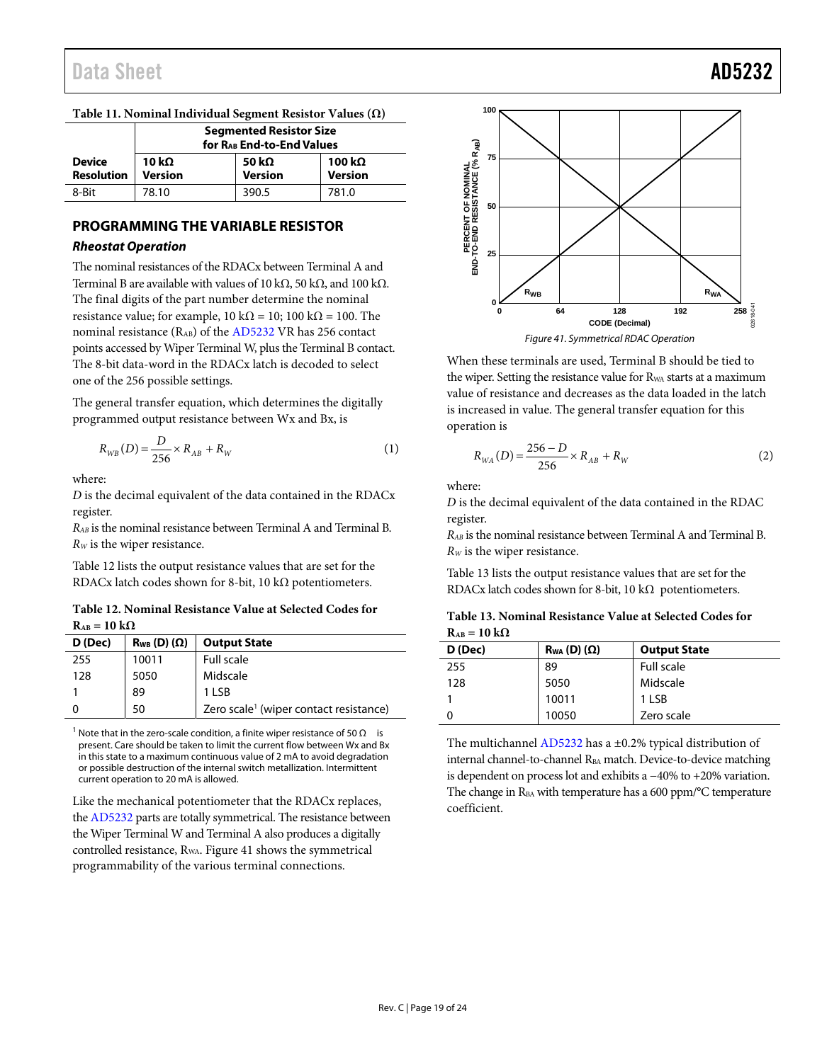|                                    | <b>Segmented Resistor Size</b><br>for RAB End-to-End Values |                                 |                          |  |  |  |  |  |
|------------------------------------|-------------------------------------------------------------|---------------------------------|--------------------------|--|--|--|--|--|
| <b>Device</b><br><b>Resolution</b> | 10 k $\Omega$<br><b>Version</b>                             | 50 k $\Omega$<br><b>Version</b> | 100 kΩ<br><b>Version</b> |  |  |  |  |  |
| 8-Bit                              | 78.10                                                       | 390.5                           | 781.0                    |  |  |  |  |  |

#### **Table 11. Nominal Individual Segment Resistor Values (Ω)**

#### <span id="page-18-0"></span>**PROGRAMMING THE VARIABLE RESISTOR Rheostat Operation**

The nominal resistances of the RDACx between Terminal A and Terminal B are available with values of 10 kΩ, 50 kΩ, and 100 kΩ. The final digits of the part number determine the nominal resistance value; for example,  $10 \text{ k}\Omega = 10$ ;  $100 \text{ k}\Omega = 100$ . The nominal resistance (RAB) of the [AD5232 V](http://www.analog.com/AD5232?doc=AD5232.pdf)R has 256 contact points accessed by Wiper Terminal W, plus the Terminal B contact. The 8-bit data-word in the RDACx latch is decoded to select one of the 256 possible settings.

The general transfer equation, which determines the digitally programmed output resistance between Wx and Bx, is

$$
R_{WB}(D) = \frac{D}{256} \times R_{AB} + R_W \tag{1}
$$

where:

*D* is the decimal equivalent of the data contained in the RDACx register.

*RAB* is the nominal resistance between Terminal A and Terminal B. *RW* is the wiper resistance.

[Table 12 l](#page-18-1)ists the output resistance values that are set for the RDACx latch codes shown for 8-bit, 10 k $\Omega$  potentiometers.

#### <span id="page-18-1"></span>**Table 12. Nominal Resistance Value at Selected Codes for**   $R_{AB} = 10 k\Omega$

| D (Dec) | $R_{WB}$ (D) ( $\Omega$ ) | <b>Output State</b>                                |
|---------|---------------------------|----------------------------------------------------|
| 255     | 10011                     | Full scale                                         |
| 128     | 5050                      | Midscale                                           |
|         | 89                        | 1 LSB                                              |
|         | 50                        | Zero scale <sup>1</sup> (wiper contact resistance) |

<sup>1</sup> Note that in the zero-scale condition, a finite wiper resistance of 50 Ω is present. Care should be taken to limit the current flow between Wx and Bx in this state to a maximum continuous value of 2 mA to avoid degradation or possible destruction of the internal switch metallization. Intermittent current operation to 20 mA is allowed.

Like the mechanical potentiometer that the RDACx replaces, th[e AD5232](http://www.analog.com/AD5232?doc=AD5232.pdf) parts are totally symmetrical. The resistance between the Wiper Terminal W and Terminal A also produces a digitally controlled resistance, RWA. [Figure 41 s](#page-18-2)hows the symmetrical programmability of the various terminal connections.



<span id="page-18-2"></span>When these terminals are used, Terminal B should be tied to the wiper. Setting the resistance value for R<sub>WA</sub> starts at a maximum value of resistance and decreases as the data loaded in the latch is increased in value. The general transfer equation for this operation is

$$
R_{WA}(D) = \frac{256 - D}{256} \times R_{AB} + R_W
$$
 (2)

where:

*D* is the decimal equivalent of the data contained in the RDAC register.

*RAB* is the nominal resistance between Terminal A and Terminal B. *RW* is the wiper resistance.

[Table 13 l](#page-18-3)ists the output resistance values that are set for the RDACx latch codes shown for 8-bit, 10 kΩ potentiometers.

<span id="page-18-3"></span>

| Table 13. Nominal Resistance Value at Selected Codes for |  |
|----------------------------------------------------------|--|
| $R_{AB} = 10 k\Omega$                                    |  |

| D (Dec) | $R_{WA}$ (D) ( $\Omega$ ) | <b>Output State</b> |
|---------|---------------------------|---------------------|
| 255     | 89                        | Full scale          |
| 128     | 5050                      | Midscale            |
|         | 10011                     | 1 I SB              |
|         | 10050                     | Zero scale          |

The multichanne[l AD5232 h](http://www.analog.com/AD5232?doc=AD5232.pdf)as a ±0.2% typical distribution of internal channel-to-channel RBA match. Device-to-device matching is dependent on process lot and exhibits a −40% to +20% variation. The change in  $R_{BA}$  with temperature has a 600 ppm/ $\rm ^{o}C$  temperature coefficient.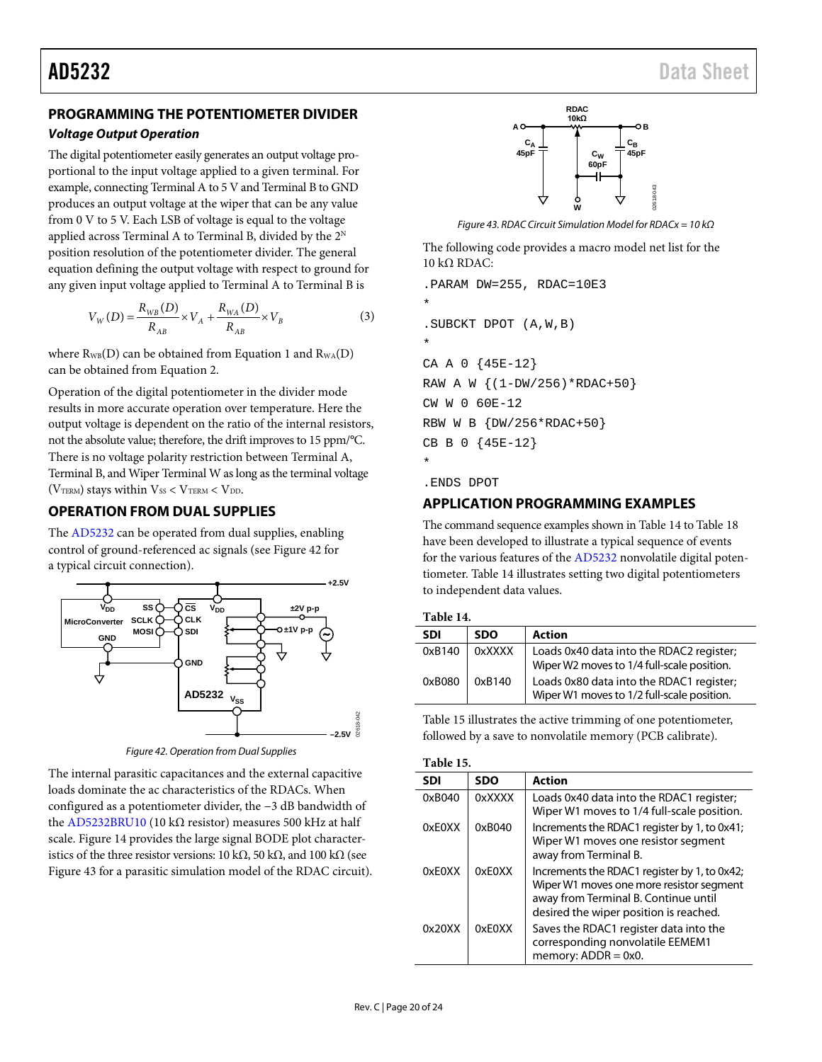#### <span id="page-19-0"></span>**PROGRAMMING THE POTENTIOMETER DIVIDER**

#### *Voltage Output Operation*

The digital potentiometer easily generates an output voltage proportional to the input voltage applied to a given terminal. For example, connecting Terminal A to 5 V and Terminal B to GND produces an output voltage at the wiper that can be any value from 0 V to 5 V. Each LSB of voltage is equal to the voltage applied across Terminal A to Terminal B, divided by the  $2^N$ position resolution of the potentiometer divider. The general equation defining the output voltage with respect to ground for any given input voltage applied to Terminal A to Terminal B is

$$
V_{W}(D) = \frac{R_{WB}(D)}{R_{AB}} \times V_{A} + \frac{R_{WA}(D)}{R_{AB}} \times V_{B}
$$
(3)

where  $R_{WB}(D)$  can be obtained from Equation 1 and  $R_{WA}(D)$ can be obtained from Equation 2.

Operation of the digital potentiometer in the divider mode results in more accurate operation over temperature. Here the output voltage is dependent on the ratio of the internal resistors, not the absolute value; therefore, the drift improves to 15 ppm/°C. There is no voltage polarity restriction between Terminal A, Terminal B, and Wiper Terminal W as long as the terminal voltage ( $V<sub>TERM</sub>$ ) stays within  $V<sub>SS</sub> < V<sub>TERM</sub> < V<sub>DD</sub>$ .

#### <span id="page-19-1"></span>**OPERATION FROM DUAL SUPPLIES**

The [AD5232](http://www.analog.com/AD5232?doc=AD5232.pdf) can be operated from dual supplies, enabling control of ground-referenced ac signals (see [Figure 42](#page-19-3) for a typical circuit connection).



*Figure 42. Operation from Dual Supplies*

<span id="page-19-3"></span>The internal parasitic capacitances and the external capacitive loads dominate the ac characteristics of the RDACs. When configured as a potentiometer divider, the −3 dB bandwidth of the [AD5232BRU10](http://www.analog.com/AD5232?doc=AD5232.pdf) (10 kΩ resistor) measures 500 kHz at half scale[. Figure 14](#page-9-1) provides the large signal BODE plot characteristics of the three resistor versions: 10 kΩ, 50 kΩ, and 100 kΩ (see [Figure 43](#page-19-4) for a parasitic simulation model of the RDAC circuit).



*Figure 43. RDAC Circuit Simulation Model for RDACx = 10 kΩ*

<span id="page-19-4"></span>The following code provides a macro model net list for the  $10 kΩ RDAC:$ 

```
.PARAM DW=255, RDAC=10E3
```
.SUBCKT DPOT (A,W,B)

\* CA A 0 {45E-12} RAW A W {(1-DW/256)\*RDAC+50} CW W 0 60E-12 RBW W B {DW/256\*RDAC+50} CB B 0 {45E-12} \*

.ENDS DPOT

\*

#### <span id="page-19-2"></span>**APPLICATION PROGRAMMING EXAMPLES**

The command sequence examples shown i[n Table 14](#page-19-5) to [Table 18](#page-20-5) have been developed to illustrate a typical sequence of events for the various features of the [AD5232](http://www.analog.com/AD5232?doc=AD5232.pdf) nonvolatile digital potentiometer. [Table 14](#page-19-5) illustrates setting two digital potentiometers to independent data values.

<span id="page-19-5"></span>

| Table 14. |            |                                                                                        |  |  |  |  |
|-----------|------------|----------------------------------------------------------------------------------------|--|--|--|--|
| SDI       | <b>SDO</b> | <b>Action</b>                                                                          |  |  |  |  |
| 0xB140    | 0xXXXX     | Loads 0x40 data into the RDAC2 register;<br>Wiper W2 moves to 1/4 full-scale position. |  |  |  |  |
| 0xB080    | 0xB140     | Loads 0x80 data into the RDAC1 register;<br>Wiper W1 moves to 1/2 full-scale position. |  |  |  |  |

[Table 15](#page-19-6) illustrates the active trimming of one potentiometer, followed by a save to nonvolatile memory (PCB calibrate).

<span id="page-19-6"></span>

| `able |  |
|-------|--|
|-------|--|

| <b>SDI</b> | <b>SDO</b> | <b>Action</b>                                                                                                                                                              |  |  |
|------------|------------|----------------------------------------------------------------------------------------------------------------------------------------------------------------------------|--|--|
| 0xB040     | 0xXXXX     | Loads 0x40 data into the RDAC1 register;<br>Wiper W1 moves to 1/4 full-scale position.                                                                                     |  |  |
| 0xE0XX     | 0xB040     | Increments the RDAC1 register by 1, to 0x41;<br>Wiper W1 moves one resistor segment<br>away from Terminal B.                                                               |  |  |
| 0xE0XX     | 0xE0XX     | Increments the RDAC1 register by 1, to 0x42;<br>Wiper W1 moves one more resistor segment<br>away from Terminal B. Continue until<br>desired the wiper position is reached. |  |  |
| 0x20XX     | 0xF0XX     | Saves the RDAC1 register data into the<br>corresponding nonvolatile EEMEM1<br>memory: $ADDR = 0x0$ .                                                                       |  |  |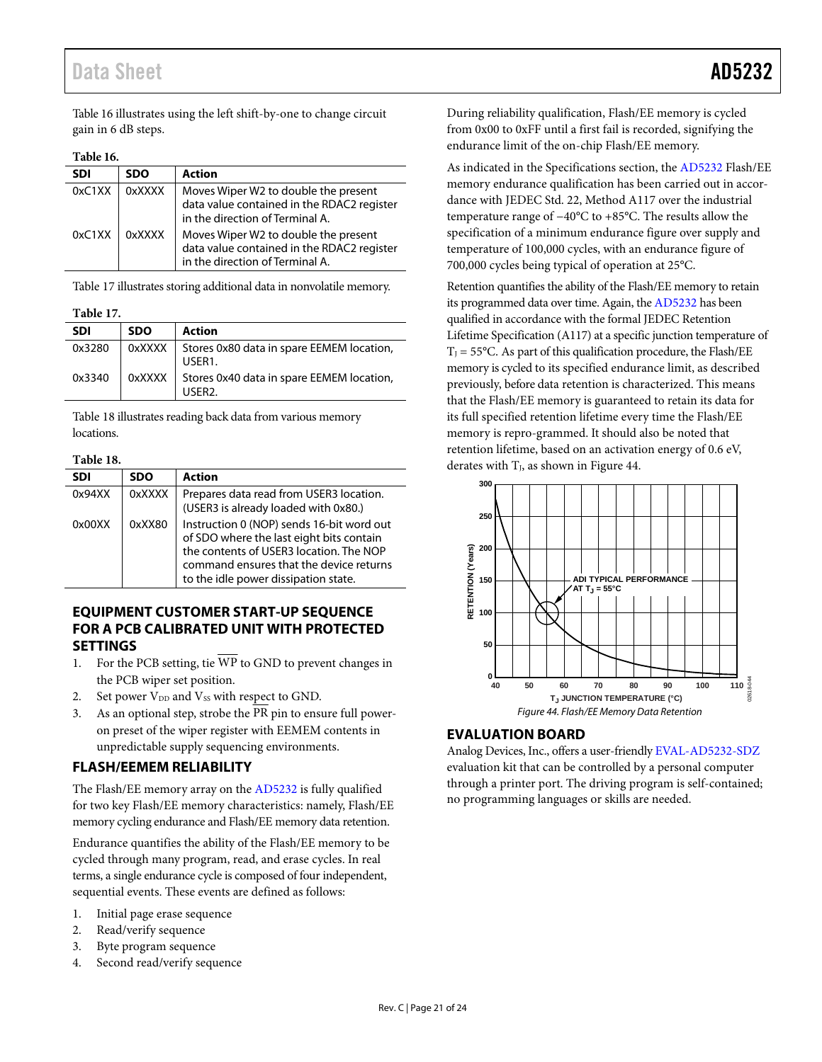## Data Sheet **AD5232**

[Table 16](#page-20-6) illustrates using the left shift-by-one to change circuit gain in 6 dB steps.

#### <span id="page-20-6"></span>**Table 16.**

| <b>SDI</b> | <b>SDO</b> | <b>Action</b>                                                                                                         |  |
|------------|------------|-----------------------------------------------------------------------------------------------------------------------|--|
| 0xC1XX     | 0xXXXX     | Moves Wiper W2 to double the present<br>data value contained in the RDAC2 register<br>in the direction of Terminal A. |  |
| 0xC1XX     | 0xXXXX     | Moves Wiper W2 to double the present<br>data value contained in the RDAC2 register<br>in the direction of Terminal A. |  |

[Table 17 i](#page-20-7)llustrates storing additional data in nonvolatile memory.

<span id="page-20-7"></span>**Table 17.** 

| <b>SDI</b> | <b>SDO</b> | <b>Action</b>                                                  |
|------------|------------|----------------------------------------------------------------|
| 0x3280     | 0xXXXX     | Stores 0x80 data in spare EEMEM location,<br>USER <sub>1</sub> |
| 0x3340     | 0xXXXX     | Stores 0x40 data in spare EEMEM location,<br>USER <sub>2</sub> |

[Table 18 i](#page-20-5)llustrates reading back data from various memory locations.

#### <span id="page-20-5"></span>**Table 18.**

| <b>SDI</b> | <b>SDO</b> | <b>Action</b>                                                                                                                                                                                                       |
|------------|------------|---------------------------------------------------------------------------------------------------------------------------------------------------------------------------------------------------------------------|
| 0x94XX     | 0xXXXX     | Prepares data read from USER3 location.<br>(USER3 is already loaded with 0x80.)                                                                                                                                     |
| 0x00XX     | 0xXX80     | Instruction 0 (NOP) sends 16-bit word out<br>of SDO where the last eight bits contain<br>the contents of USER3 location. The NOP<br>command ensures that the device returns<br>to the idle power dissipation state. |

#### <span id="page-20-0"></span>**EQUIPMENT CUSTOMER START-UP SEQUENCE FOR A PCB CALIBRATED UNIT WITH PROTECTED SETTINGS**

- 1. For the PCB setting, tie  $\overline{WP}$  to GND to prevent changes in the PCB wiper set position.
- 2. Set power V<sub>DD</sub> and V<sub>SS</sub> with respect to GND.
- 3. As an optional step, strobe the PR pin to ensure full poweron preset of the wiper register with EEMEM contents in unpredictable supply sequencing environments.

#### <span id="page-20-1"></span>**FLASH/EEMEM RELIABILITY**

The Flash/EE memory array on the [AD5232 i](http://www.analog.com/AD5232?doc=AD5232.pdf)s fully qualified for two key Flash/EE memory characteristics: namely, Flash/EE memory cycling endurance and Flash/EE memory data retention.

Endurance quantifies the ability of the Flash/EE memory to be cycled through many program, read, and erase cycles. In real terms, a single endurance cycle is composed of four independent, sequential events. These events are defined as follows:

- 1. Initial page erase sequence
- 2. Read/verify sequence
- 3. Byte program sequence
- <span id="page-20-3"></span>4. Second read/verify sequence

During reliability qualification, Flash/EE memory is cycled from 0x00 to 0xFF until a first fail is recorded, signifying the endurance limit of the on-chip Flash/EE memory.

As indicated in th[e Specifications](#page-2-0) section, th[e AD5232 F](http://www.analog.com/AD5232?doc=AD5232.pdf)lash/EE memory endurance qualification has been carried out in accordance with JEDEC Std. 22, Method A117 over the industrial temperature range of −40°C to +85°C. The results allow the specification of a minimum endurance figure over supply and temperature of 100,000 cycles, with an endurance figure of 700,000 cycles being typical of operation at 25°C.

Retention quantifies the ability of the Flash/EE memory to retain its programmed data over time. Again, th[e AD5232](http://www.analog.com/AD5232?doc=AD5232.pdf) has been qualified in accordance with the formal JEDEC Retention Lifetime Specification (A117) at a specific junction temperature of  $T_J = 55^{\circ}$ C. As part of this qualification procedure, the Flash/EE memory is cycled to its specified endurance limit, as described previously, before data retention is characterized. This means that the Flash/EE memory is guaranteed to retain its data for its full specified retention lifetime every time the Flash/EE memory is repro-grammed. It should also be noted that retention lifetime, based on an activation energy of 0.6 eV, derates with  $T<sub>J</sub>$ , as shown in Figure 44.



#### <span id="page-20-4"></span><span id="page-20-2"></span>**EVALUATION BOARD**

Analog Devices, Inc., offers a user-friendl[y EVAL-AD5232-SDZ](http://www.analog.com/AD5232?doc=AD5232.pdf)  evaluation kit that can be controlled by a personal computer through a printer port. The driving program is self-contained; no programming languages or skills are needed.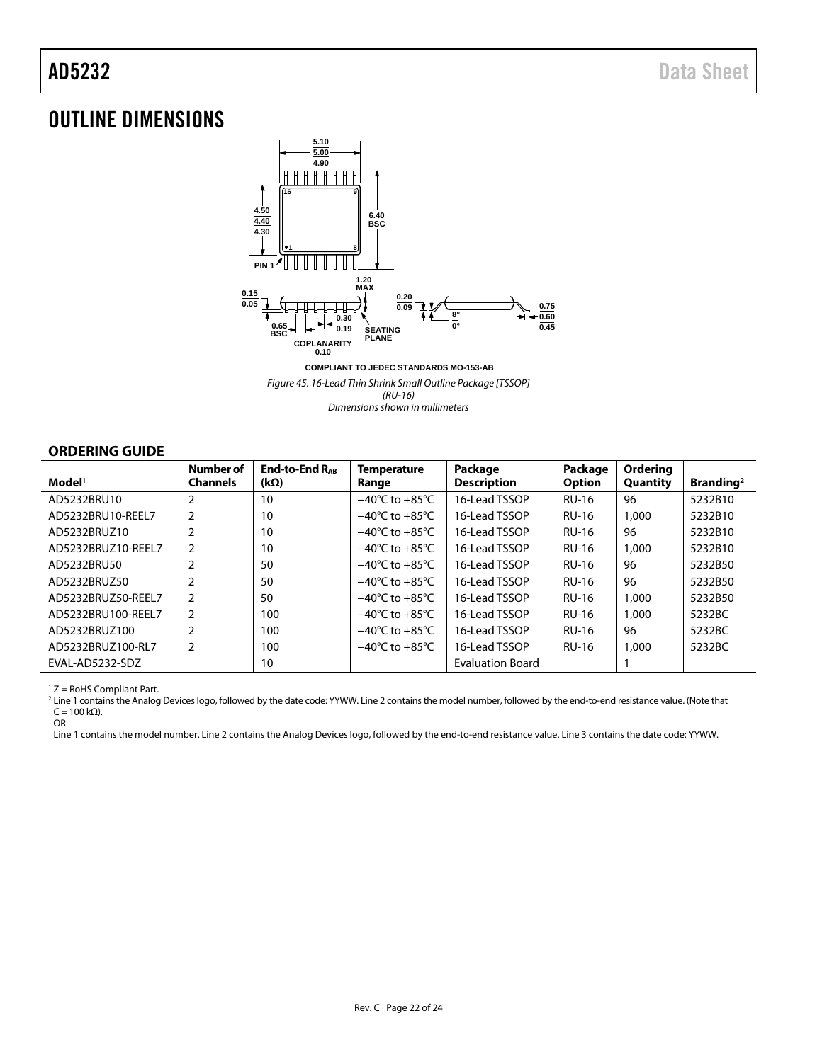## OUTLINE DIMENSIONS



**COMPLIANT TO JEDEC STANDARDS MO-153-AB** Figure 45. 16-Lead Thin Shrink Small Outline Package [TSSOP] (RU-16) Dimensions shown in millimeters

<span id="page-21-0"></span>**ORDERING GUIDE** 

| $\mathbf{Model}^1$ | <b>Number of</b><br><b>Channels</b> | <b>End-to-End RAR</b><br>$(k\Omega)$ | <b>Temperature</b><br>Range        | Package<br><b>Description</b> | Package<br><b>Option</b> | Ordering<br>Quantity | Branding <sup>2</sup> |
|--------------------|-------------------------------------|--------------------------------------|------------------------------------|-------------------------------|--------------------------|----------------------|-----------------------|
| AD5232BRU10        | $\overline{2}$                      | 10                                   | $-40^{\circ}$ C to $+85^{\circ}$ C | 16-Lead TSSOP                 | <b>RU-16</b>             | 96                   | 5232B10               |
| AD5232BRU10-REEL7  | $\overline{2}$                      | 10                                   | $-40^{\circ}$ C to $+85^{\circ}$ C | 16-Lead TSSOP                 | <b>RU-16</b>             | 1,000                | 5232B10               |
| AD5232BRUZ10       |                                     | 10                                   | $-40^{\circ}$ C to $+85^{\circ}$ C | 16-Lead TSSOP                 | <b>RU-16</b>             | 96                   | 5232B10               |
| AD5232BRUZ10-REEL7 | $\overline{2}$                      | 10                                   | $-40^{\circ}$ C to $+85^{\circ}$ C | 16-Lead TSSOP                 | <b>RU-16</b>             | 1,000                | 5232B10               |
| AD5232BRU50        | $\overline{2}$                      | 50                                   | $-40^{\circ}$ C to $+85^{\circ}$ C | 16-Lead TSSOP                 | <b>RU-16</b>             | 96                   | 5232B50               |
| AD5232BRUZ50       |                                     | 50                                   | $-40^{\circ}$ C to $+85^{\circ}$ C | 16-Lead TSSOP                 | <b>RU-16</b>             | 96                   | 5232B50               |
| AD5232BRUZ50-REEL7 | 2                                   | 50                                   | $-40^{\circ}$ C to $+85^{\circ}$ C | 16-Lead TSSOP                 | <b>RU-16</b>             | 1,000                | 5232B50               |
| AD5232BRU100-REEL7 | 2                                   | 100                                  | $-40^{\circ}$ C to $+85^{\circ}$ C | 16-Lead TSSOP                 | <b>RU-16</b>             | 1,000                | 5232BC                |
| AD5232BRUZ100      |                                     | 100                                  | $-40^{\circ}$ C to $+85^{\circ}$ C | 16-Lead TSSOP                 | <b>RU-16</b>             | 96                   | 5232BC                |
| AD5232BRUZ100-RL7  | 2                                   | 100                                  | $-40^{\circ}$ C to $+85^{\circ}$ C | 16-Lead TSSOP                 | <b>RU-16</b>             | 1,000                | 5232BC                |
| EVAL-AD5232-SDZ    |                                     | 10                                   |                                    | <b>Evaluation Board</b>       |                          |                      |                       |

1 Z = RoHS Compliant Part.

2 Line 1 contains the Analog Devices logo, followed by the date code: YYWW. Line 2 contains the model number, followed by the end-to-end resistance value. (Note that  $C = 100 \text{ k}\Omega$ ).

OR

Line 1 contains the model number. Line 2 contains the Analog Devices logo, followed by the end-to-end resistance value. Line 3 contains the date code: YYWW.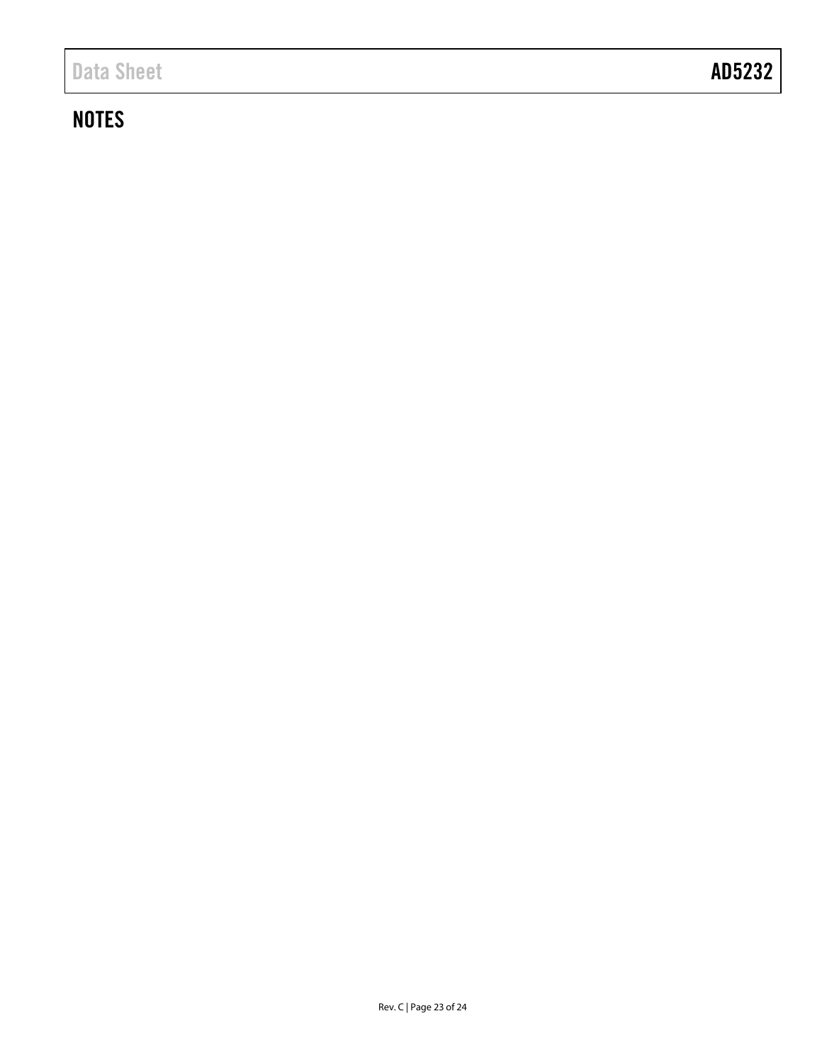# **NOTES**